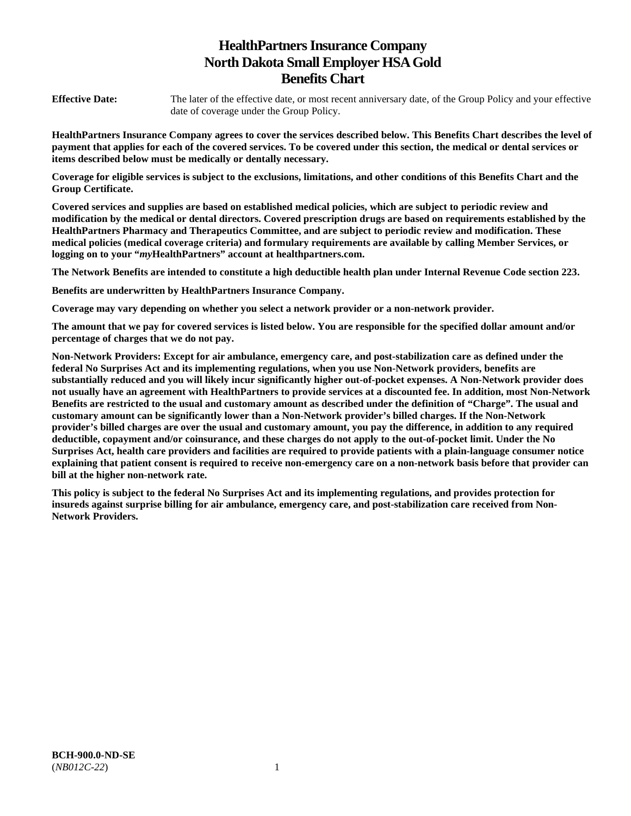# **HealthPartners Insurance Company North Dakota Small Employer HSA Gold Benefits Chart**

**Effective Date:** The later of the effective date, or most recent anniversary date, of the Group Policy and your effective date of coverage under the Group Policy.

**HealthPartners Insurance Company agrees to cover the services described below. This Benefits Chart describes the level of payment that applies for each of the covered services. To be covered under this section, the medical or dental services or items described below must be medically or dentally necessary.** 

**Coverage for eligible services is subject to the exclusions, limitations, and other conditions of this Benefits Chart and the Group Certificate.** 

**Covered services and supplies are based on established medical policies, which are subject to periodic review and modification by the medical or dental directors. Covered prescription drugs are based on requirements established by the HealthPartners Pharmacy and Therapeutics Committee, and are subject to periodic review and modification. These medical policies (medical coverage criteria) and formulary requirements are available by calling Member Services, or logging on to your "***my***HealthPartners" account at [healthpartners.com.](http://healthpartners.com/)** 

**The Network Benefits are intended to constitute a high deductible health plan under Internal Revenue Code section 223.**

**Benefits are underwritten by HealthPartners Insurance Company.** 

**Coverage may vary depending on whether you select a network provider or a non-network provider.** 

**The amount that we pay for covered services is listed below. You are responsible for the specified dollar amount and/or percentage of charges that we do not pay.** 

**Non-Network Providers: Except for air ambulance, emergency care, and post-stabilization care as defined under the federal No Surprises Act and its implementing regulations, when you use Non-Network providers, benefits are substantially reduced and you will likely incur significantly higher out-of-pocket expenses. A Non-Network provider does not usually have an agreement with HealthPartners to provide services at a discounted fee. In addition, most Non-Network Benefits are restricted to the usual and customary amount as described under the definition of "Charge". The usual and customary amount can be significantly lower than a Non-Network provider's billed charges. If the Non-Network provider's billed charges are over the usual and customary amount, you pay the difference, in addition to any required deductible, copayment and/or coinsurance, and these charges do not apply to the out-of-pocket limit. Under the No Surprises Act, health care providers and facilities are required to provide patients with a plain-language consumer notice explaining that patient consent is required to receive non-emergency care on a non-network basis before that provider can bill at the higher non-network rate.** 

**This policy is subject to the federal No Surprises Act and its implementing regulations, and provides protection for insureds against surprise billing for air ambulance, emergency care, and post-stabilization care received from Non-Network Providers.**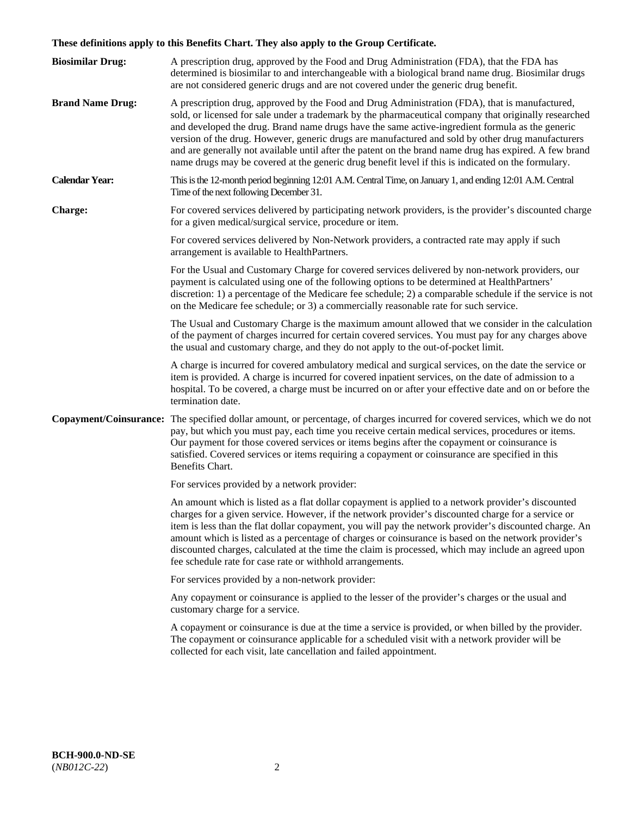# **These definitions apply to this Benefits Chart. They also apply to the Group Certificate.**

| <b>Biosimilar Drug:</b> | A prescription drug, approved by the Food and Drug Administration (FDA), that the FDA has<br>determined is biosimilar to and interchangeable with a biological brand name drug. Biosimilar drugs<br>are not considered generic drugs and are not covered under the generic drug benefit.                                                                                                                                                                                                                                                                                                                                        |
|-------------------------|---------------------------------------------------------------------------------------------------------------------------------------------------------------------------------------------------------------------------------------------------------------------------------------------------------------------------------------------------------------------------------------------------------------------------------------------------------------------------------------------------------------------------------------------------------------------------------------------------------------------------------|
| <b>Brand Name Drug:</b> | A prescription drug, approved by the Food and Drug Administration (FDA), that is manufactured,<br>sold, or licensed for sale under a trademark by the pharmaceutical company that originally researched<br>and developed the drug. Brand name drugs have the same active-ingredient formula as the generic<br>version of the drug. However, generic drugs are manufactured and sold by other drug manufacturers<br>and are generally not available until after the patent on the brand name drug has expired. A few brand<br>name drugs may be covered at the generic drug benefit level if this is indicated on the formulary. |
| <b>Calendar Year:</b>   | This is the 12-month period beginning 12:01 A.M. Central Time, on January 1, and ending 12:01 A.M. Central<br>Time of the next following December 31.                                                                                                                                                                                                                                                                                                                                                                                                                                                                           |
| <b>Charge:</b>          | For covered services delivered by participating network providers, is the provider's discounted charge<br>for a given medical/surgical service, procedure or item.                                                                                                                                                                                                                                                                                                                                                                                                                                                              |
|                         | For covered services delivered by Non-Network providers, a contracted rate may apply if such<br>arrangement is available to HealthPartners.                                                                                                                                                                                                                                                                                                                                                                                                                                                                                     |
|                         | For the Usual and Customary Charge for covered services delivered by non-network providers, our<br>payment is calculated using one of the following options to be determined at HealthPartners'<br>discretion: 1) a percentage of the Medicare fee schedule; 2) a comparable schedule if the service is not<br>on the Medicare fee schedule; or 3) a commercially reasonable rate for such service.                                                                                                                                                                                                                             |
|                         | The Usual and Customary Charge is the maximum amount allowed that we consider in the calculation<br>of the payment of charges incurred for certain covered services. You must pay for any charges above<br>the usual and customary charge, and they do not apply to the out-of-pocket limit.                                                                                                                                                                                                                                                                                                                                    |
|                         | A charge is incurred for covered ambulatory medical and surgical services, on the date the service or<br>item is provided. A charge is incurred for covered inpatient services, on the date of admission to a<br>hospital. To be covered, a charge must be incurred on or after your effective date and on or before the<br>termination date.                                                                                                                                                                                                                                                                                   |
|                         | Copayment/Coinsurance: The specified dollar amount, or percentage, of charges incurred for covered services, which we do not<br>pay, but which you must pay, each time you receive certain medical services, procedures or items.<br>Our payment for those covered services or items begins after the copayment or coinsurance is<br>satisfied. Covered services or items requiring a copayment or coinsurance are specified in this<br>Benefits Chart.                                                                                                                                                                         |
|                         | For services provided by a network provider:                                                                                                                                                                                                                                                                                                                                                                                                                                                                                                                                                                                    |
|                         | An amount which is listed as a flat dollar copayment is applied to a network provider's discounted<br>charges for a given service. However, if the network provider's discounted charge for a service or<br>item is less than the flat dollar copayment, you will pay the network provider's discounted charge. An<br>amount which is listed as a percentage of charges or coinsurance is based on the network provider's<br>discounted charges, calculated at the time the claim is processed, which may include an agreed upon<br>fee schedule rate for case rate or withhold arrangements.                                   |
|                         | For services provided by a non-network provider:                                                                                                                                                                                                                                                                                                                                                                                                                                                                                                                                                                                |
|                         | Any copayment or coinsurance is applied to the lesser of the provider's charges or the usual and<br>customary charge for a service.                                                                                                                                                                                                                                                                                                                                                                                                                                                                                             |
|                         | A copayment or coinsurance is due at the time a service is provided, or when billed by the provider.<br>The copayment or coinsurance applicable for a scheduled visit with a network provider will be<br>collected for each visit, late cancellation and failed appointment.                                                                                                                                                                                                                                                                                                                                                    |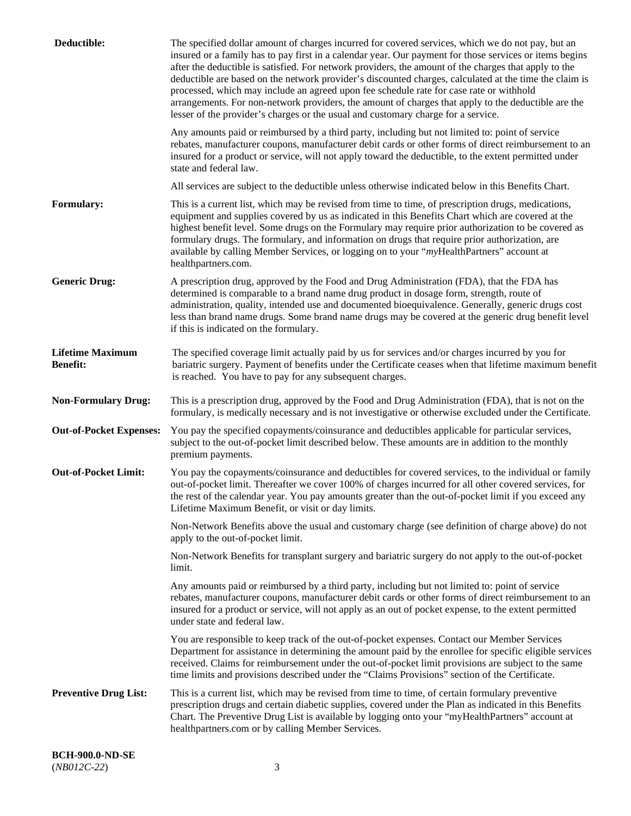| Deductible:                                | The specified dollar amount of charges incurred for covered services, which we do not pay, but an<br>insured or a family has to pay first in a calendar year. Our payment for those services or items begins<br>after the deductible is satisfied. For network providers, the amount of the charges that apply to the<br>deductible are based on the network provider's discounted charges, calculated at the time the claim is<br>processed, which may include an agreed upon fee schedule rate for case rate or withhold<br>arrangements. For non-network providers, the amount of charges that apply to the deductible are the<br>lesser of the provider's charges or the usual and customary charge for a service. |
|--------------------------------------------|------------------------------------------------------------------------------------------------------------------------------------------------------------------------------------------------------------------------------------------------------------------------------------------------------------------------------------------------------------------------------------------------------------------------------------------------------------------------------------------------------------------------------------------------------------------------------------------------------------------------------------------------------------------------------------------------------------------------|
|                                            | Any amounts paid or reimbursed by a third party, including but not limited to: point of service<br>rebates, manufacturer coupons, manufacturer debit cards or other forms of direct reimbursement to an<br>insured for a product or service, will not apply toward the deductible, to the extent permitted under<br>state and federal law.                                                                                                                                                                                                                                                                                                                                                                             |
|                                            | All services are subject to the deductible unless otherwise indicated below in this Benefits Chart.                                                                                                                                                                                                                                                                                                                                                                                                                                                                                                                                                                                                                    |
| <b>Formulary:</b>                          | This is a current list, which may be revised from time to time, of prescription drugs, medications,<br>equipment and supplies covered by us as indicated in this Benefits Chart which are covered at the<br>highest benefit level. Some drugs on the Formulary may require prior authorization to be covered as<br>formulary drugs. The formulary, and information on drugs that require prior authorization, are<br>available by calling Member Services, or logging on to your "myHealthPartners" account at<br>healthpartners.com.                                                                                                                                                                                  |
| <b>Generic Drug:</b>                       | A prescription drug, approved by the Food and Drug Administration (FDA), that the FDA has<br>determined is comparable to a brand name drug product in dosage form, strength, route of<br>administration, quality, intended use and documented bioequivalence. Generally, generic drugs cost<br>less than brand name drugs. Some brand name drugs may be covered at the generic drug benefit level<br>if this is indicated on the formulary.                                                                                                                                                                                                                                                                            |
| <b>Lifetime Maximum</b><br><b>Benefit:</b> | The specified coverage limit actually paid by us for services and/or charges incurred by you for<br>bariatric surgery. Payment of benefits under the Certificate ceases when that lifetime maximum benefit<br>is reached. You have to pay for any subsequent charges.                                                                                                                                                                                                                                                                                                                                                                                                                                                  |
| <b>Non-Formulary Drug:</b>                 | This is a prescription drug, approved by the Food and Drug Administration (FDA), that is not on the<br>formulary, is medically necessary and is not investigative or otherwise excluded under the Certificate.                                                                                                                                                                                                                                                                                                                                                                                                                                                                                                         |
| <b>Out-of-Pocket Expenses:</b>             | You pay the specified copayments/coinsurance and deductibles applicable for particular services,<br>subject to the out-of-pocket limit described below. These amounts are in addition to the monthly<br>premium payments.                                                                                                                                                                                                                                                                                                                                                                                                                                                                                              |
| <b>Out-of-Pocket Limit:</b>                | You pay the copayments/coinsurance and deductibles for covered services, to the individual or family<br>out-of-pocket limit. Thereafter we cover 100% of charges incurred for all other covered services, for<br>the rest of the calendar year. You pay amounts greater than the out-of-pocket limit if you exceed any<br>Lifetime Maximum Benefit, or visit or day limits.                                                                                                                                                                                                                                                                                                                                            |
|                                            | Non-Network Benefits above the usual and customary charge (see definition of charge above) do not<br>apply to the out-of-pocket limit.                                                                                                                                                                                                                                                                                                                                                                                                                                                                                                                                                                                 |
|                                            | Non-Network Benefits for transplant surgery and bariatric surgery do not apply to the out-of-pocket<br>limit.                                                                                                                                                                                                                                                                                                                                                                                                                                                                                                                                                                                                          |
|                                            | Any amounts paid or reimbursed by a third party, including but not limited to: point of service<br>rebates, manufacturer coupons, manufacturer debit cards or other forms of direct reimbursement to an<br>insured for a product or service, will not apply as an out of pocket expense, to the extent permitted<br>under state and federal law.                                                                                                                                                                                                                                                                                                                                                                       |
|                                            | You are responsible to keep track of the out-of-pocket expenses. Contact our Member Services<br>Department for assistance in determining the amount paid by the enrollee for specific eligible services<br>received. Claims for reimbursement under the out-of-pocket limit provisions are subject to the same<br>time limits and provisions described under the "Claims Provisions" section of the Certificate.                                                                                                                                                                                                                                                                                                       |
| <b>Preventive Drug List:</b>               | This is a current list, which may be revised from time to time, of certain formulary preventive<br>prescription drugs and certain diabetic supplies, covered under the Plan as indicated in this Benefits<br>Chart. The Preventive Drug List is available by logging onto your "myHealthPartners" account at<br>healthpartners.com or by calling Member Services.                                                                                                                                                                                                                                                                                                                                                      |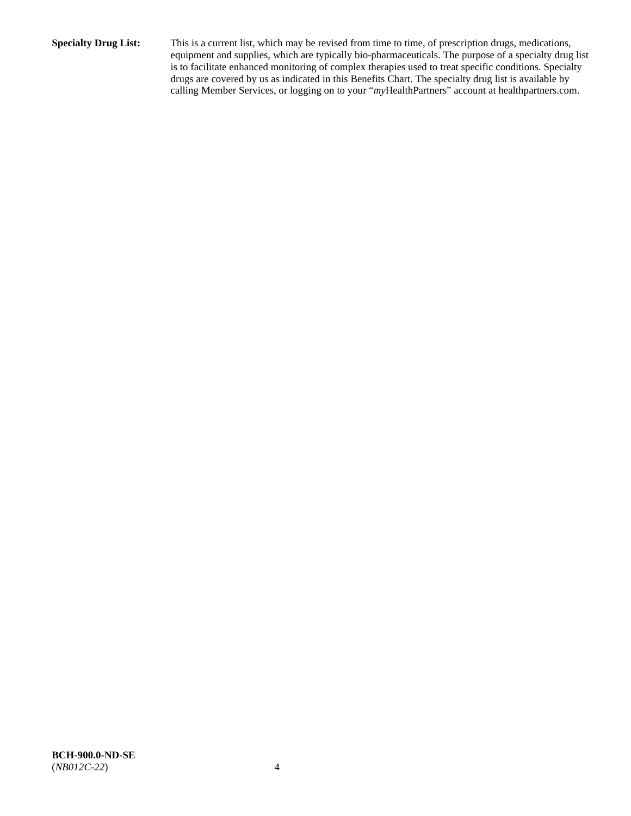**Specialty Drug List:** This is a current list, which may be revised from time to time, of prescription drugs, medications, equipment and supplies, which are typically bio-pharmaceuticals. The purpose of a specialty drug list is to facilitate enhanced monitoring of complex therapies used to treat specific conditions. Specialty drugs are covered by us as indicated in this Benefits Chart. The specialty drug list is available by calling Member Services, or logging on to your "*my*HealthPartners" account at [healthpartners.com.](http://www.healthpartners.com/)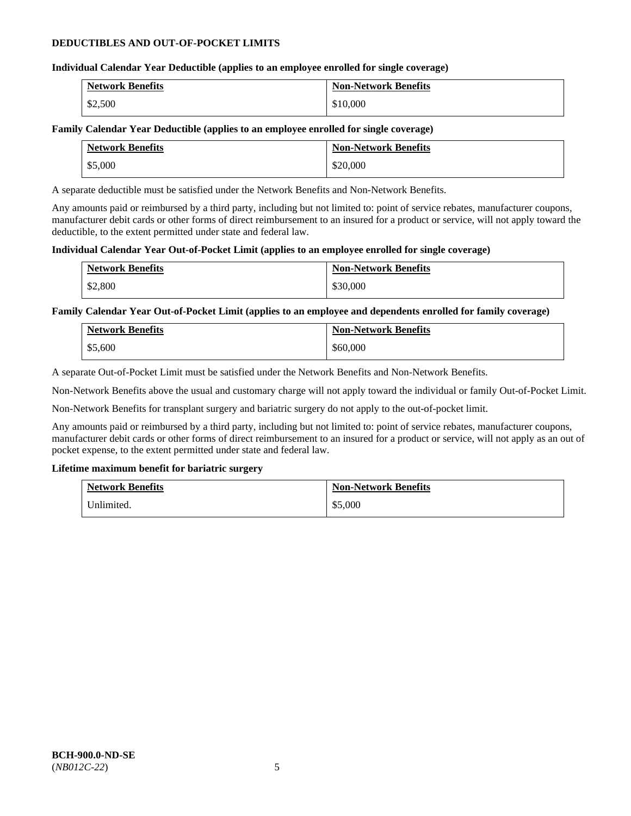## **DEDUCTIBLES AND OUT-OF-POCKET LIMITS**

## **Individual Calendar Year Deductible (applies to an employee enrolled for single coverage)**

| <b>Network Benefits</b> | <b>Non-Network Benefits</b> |
|-------------------------|-----------------------------|
| \$2,500                 | \$10,000                    |

## **Family Calendar Year Deductible (applies to an employee enrolled for single coverage)**

| <b>Network Benefits</b> | <b>Non-Network Benefits</b> |
|-------------------------|-----------------------------|
| \$5,000                 | \$20,000                    |

A separate deductible must be satisfied under the Network Benefits and Non-Network Benefits.

Any amounts paid or reimbursed by a third party, including but not limited to: point of service rebates, manufacturer coupons, manufacturer debit cards or other forms of direct reimbursement to an insured for a product or service, will not apply toward the deductible, to the extent permitted under state and federal law.

## **Individual Calendar Year Out-of-Pocket Limit (applies to an employee enrolled for single coverage)**

| <b>Network Benefits</b> | <b>Non-Network Benefits</b> |
|-------------------------|-----------------------------|
| \$2,800                 | \$30,000                    |

## **Family Calendar Year Out-of-Pocket Limit (applies to an employee and dependents enrolled for family coverage)**

| <b>Network Benefits</b> | <b>Non-Network Benefits</b> |
|-------------------------|-----------------------------|
| \$5,600                 | \$60,000                    |

A separate Out-of-Pocket Limit must be satisfied under the Network Benefits and Non-Network Benefits.

Non-Network Benefits above the usual and customary charge will not apply toward the individual or family Out-of-Pocket Limit.

Non-Network Benefits for transplant surgery and bariatric surgery do not apply to the out-of-pocket limit.

Any amounts paid or reimbursed by a third party, including but not limited to: point of service rebates, manufacturer coupons, manufacturer debit cards or other forms of direct reimbursement to an insured for a product or service, will not apply as an out of pocket expense, to the extent permitted under state and federal law.

## **Lifetime maximum benefit for bariatric surgery**

| <b>Network Benefits</b> | <b>Non-Network Benefits</b> |
|-------------------------|-----------------------------|
| Unlimited.              | \$5,000                     |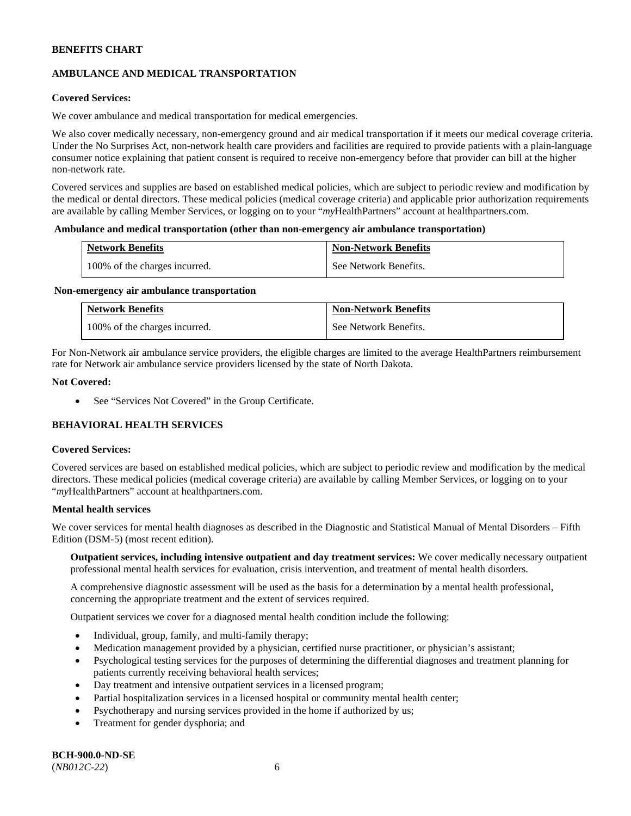# **AMBULANCE AND MEDICAL TRANSPORTATION**

## **Covered Services:**

We cover ambulance and medical transportation for medical emergencies.

We also cover medically necessary, non-emergency ground and air medical transportation if it meets our medical coverage criteria. Under the No Surprises Act, non-network health care providers and facilities are required to provide patients with a plain-language consumer notice explaining that patient consent is required to receive non-emergency before that provider can bill at the higher non-network rate.

Covered services and supplies are based on established medical policies, which are subject to periodic review and modification by the medical or dental directors. These medical policies (medical coverage criteria) and applicable prior authorization requirements are available by calling Member Services, or logging on to your "*my*HealthPartners" account a[t healthpartners.com.](http://www.healthpartners.com/)

#### **Ambulance and medical transportation (other than non-emergency air ambulance transportation)**

| <b>Network Benefits</b>       | <b>Non-Network Benefits</b> |
|-------------------------------|-----------------------------|
| 100% of the charges incurred. | See Network Benefits.       |

#### **Non-emergency air ambulance transportation**

| <b>Network Benefits</b>       | <b>Non-Network Benefits</b> |
|-------------------------------|-----------------------------|
| 100% of the charges incurred. | See Network Benefits.       |

For Non-Network air ambulance service providers, the eligible charges are limited to the average HealthPartners reimbursement rate for Network air ambulance service providers licensed by the state of North Dakota.

## **Not Covered:**

• See "Services Not Covered" in the Group Certificate.

# **BEHAVIORAL HEALTH SERVICES**

#### **Covered Services:**

Covered services are based on established medical policies, which are subject to periodic review and modification by the medical directors. These medical policies (medical coverage criteria) are available by calling Member Services, or logging on to your "*my*HealthPartners" account at [healthpartners.com.](http://healthpartners.com/)

## **Mental health services**

We cover services for mental health diagnoses as described in the Diagnostic and Statistical Manual of Mental Disorders – Fifth Edition (DSM-5) (most recent edition).

**Outpatient services, including intensive outpatient and day treatment services:** We cover medically necessary outpatient professional mental health services for evaluation, crisis intervention, and treatment of mental health disorders.

A comprehensive diagnostic assessment will be used as the basis for a determination by a mental health professional, concerning the appropriate treatment and the extent of services required.

Outpatient services we cover for a diagnosed mental health condition include the following:

- Individual, group, family, and multi-family therapy;
- Medication management provided by a physician, certified nurse practitioner, or physician's assistant;
- Psychological testing services for the purposes of determining the differential diagnoses and treatment planning for patients currently receiving behavioral health services;
- Day treatment and intensive outpatient services in a licensed program;
- Partial hospitalization services in a licensed hospital or community mental health center;
- Psychotherapy and nursing services provided in the home if authorized by us;
- Treatment for gender dysphoria; and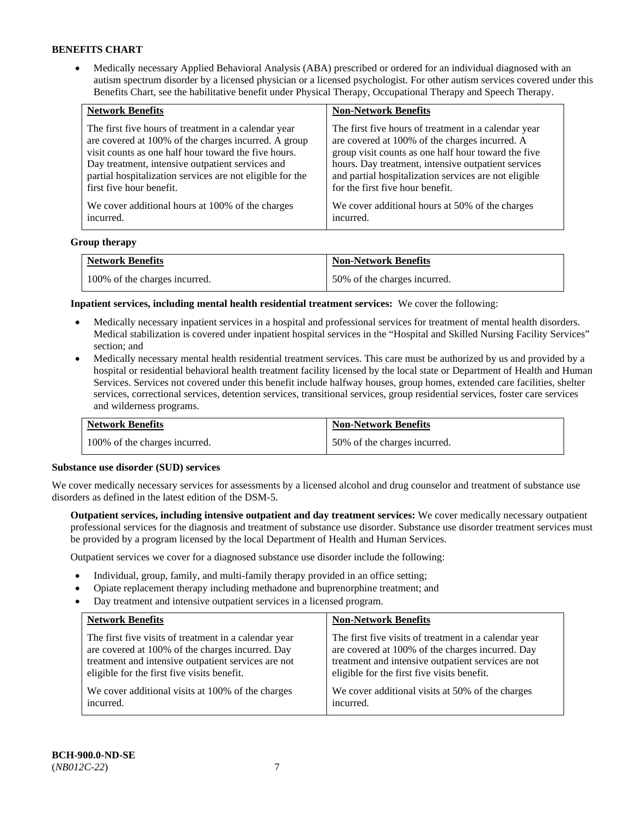• Medically necessary Applied Behavioral Analysis (ABA) prescribed or ordered for an individual diagnosed with an autism spectrum disorder by a licensed physician or a licensed psychologist. For other autism services covered under this Benefits Chart, see the habilitative benefit under Physical Therapy, Occupational Therapy and Speech Therapy.

| <b>Network Benefits</b>                                   | <b>Non-Network Benefits</b>                           |
|-----------------------------------------------------------|-------------------------------------------------------|
| The first five hours of treatment in a calendar year      | The first five hours of treatment in a calendar year  |
| are covered at 100% of the charges incurred. A group      | are covered at 100% of the charges incurred. A        |
| visit counts as one half hour toward the five hours.      | group visit counts as one half hour toward the five   |
| Day treatment, intensive outpatient services and          | hours. Day treatment, intensive outpatient services   |
| partial hospitalization services are not eligible for the | and partial hospitalization services are not eligible |
| first five hour benefit.                                  | for the first five hour benefit.                      |
| We cover additional hours at 100% of the charges          | We cover additional hours at 50% of the charges       |
| incurred.                                                 | incurred.                                             |

## **Group therapy**

| <b>Network Benefits</b>       | <b>Non-Network Benefits</b>  |
|-------------------------------|------------------------------|
| 100% of the charges incurred. | 50% of the charges incurred. |

**Inpatient services, including mental health residential treatment services:** We cover the following:

- Medically necessary inpatient services in a hospital and professional services for treatment of mental health disorders. Medical stabilization is covered under inpatient hospital services in the "Hospital and Skilled Nursing Facility Services" section; and
- Medically necessary mental health residential treatment services. This care must be authorized by us and provided by a hospital or residential behavioral health treatment facility licensed by the local state or Department of Health and Human Services. Services not covered under this benefit include halfway houses, group homes, extended care facilities, shelter services, correctional services, detention services, transitional services, group residential services, foster care services and wilderness programs.

| <b>Network Benefits</b>       | <b>Non-Network Benefits</b>  |
|-------------------------------|------------------------------|
| 100% of the charges incurred. | 50% of the charges incurred. |

#### **Substance use disorder (SUD) services**

We cover medically necessary services for assessments by a licensed alcohol and drug counselor and treatment of substance use disorders as defined in the latest edition of the DSM-5.

**Outpatient services, including intensive outpatient and day treatment services:** We cover medically necessary outpatient professional services for the diagnosis and treatment of substance use disorder. Substance use disorder treatment services must be provided by a program licensed by the local Department of Health and Human Services.

Outpatient services we cover for a diagnosed substance use disorder include the following:

- Individual, group, family, and multi-family therapy provided in an office setting;
- Opiate replacement therapy including methadone and buprenorphine treatment; and
- Day treatment and intensive outpatient services in a licensed program.

| <b>Network Benefits</b>                               | <b>Non-Network Benefits</b>                           |
|-------------------------------------------------------|-------------------------------------------------------|
| The first five visits of treatment in a calendar year | The first five visits of treatment in a calendar year |
| are covered at 100% of the charges incurred. Day      | are covered at 100% of the charges incurred. Day      |
| treatment and intensive outpatient services are not   | treatment and intensive outpatient services are not   |
| eligible for the first five visits benefit.           | eligible for the first five visits benefit.           |
| We cover additional visits at 100% of the charges     | We cover additional visits at 50% of the charges      |
| incurred.                                             | incurred.                                             |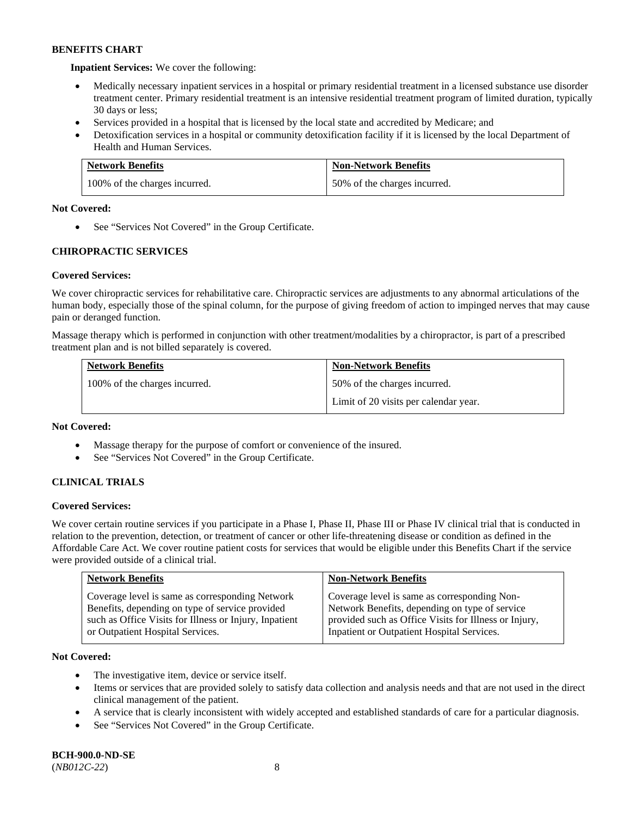**Inpatient Services:** We cover the following:

- Medically necessary inpatient services in a hospital or primary residential treatment in a licensed substance use disorder treatment center. Primary residential treatment is an intensive residential treatment program of limited duration, typically 30 days or less;
- Services provided in a hospital that is licensed by the local state and accredited by Medicare; and
- Detoxification services in a hospital or community detoxification facility if it is licensed by the local Department of Health and Human Services.

| <b>Network Benefits</b>       | <b>Non-Network Benefits</b>  |
|-------------------------------|------------------------------|
| 100% of the charges incurred. | 50% of the charges incurred. |

## **Not Covered:**

• See "Services Not Covered" in the Group Certificate.

# **CHIROPRACTIC SERVICES**

# **Covered Services:**

We cover chiropractic services for rehabilitative care. Chiropractic services are adjustments to any abnormal articulations of the human body, especially those of the spinal column, for the purpose of giving freedom of action to impinged nerves that may cause pain or deranged function.

Massage therapy which is performed in conjunction with other treatment/modalities by a chiropractor, is part of a prescribed treatment plan and is not billed separately is covered.

| <b>Network Benefits</b>       | <b>Non-Network Benefits</b>           |
|-------------------------------|---------------------------------------|
| 100% of the charges incurred. | 50% of the charges incurred.          |
|                               | Limit of 20 visits per calendar year. |

## **Not Covered:**

- Massage therapy for the purpose of comfort or convenience of the insured.
- See "Services Not Covered" in the Group Certificate.

# **CLINICAL TRIALS**

## **Covered Services:**

We cover certain routine services if you participate in a Phase I, Phase II, Phase III or Phase IV clinical trial that is conducted in relation to the prevention, detection, or treatment of cancer or other life-threatening disease or condition as defined in the Affordable Care Act. We cover routine patient costs for services that would be eligible under this Benefits Chart if the service were provided outside of a clinical trial.

| <b>Network Benefits</b>                                | <b>Non-Network Benefits</b>                           |
|--------------------------------------------------------|-------------------------------------------------------|
| Coverage level is same as corresponding Network        | Coverage level is same as corresponding Non-          |
| Benefits, depending on type of service provided        | Network Benefits, depending on type of service        |
| such as Office Visits for Illness or Injury, Inpatient | provided such as Office Visits for Illness or Injury, |
| or Outpatient Hospital Services.                       | Inpatient or Outpatient Hospital Services.            |

## **Not Covered:**

- The investigative item, device or service itself.
- Items or services that are provided solely to satisfy data collection and analysis needs and that are not used in the direct clinical management of the patient.
- A service that is clearly inconsistent with widely accepted and established standards of care for a particular diagnosis.
- See "Services Not Covered" in the Group Certificate.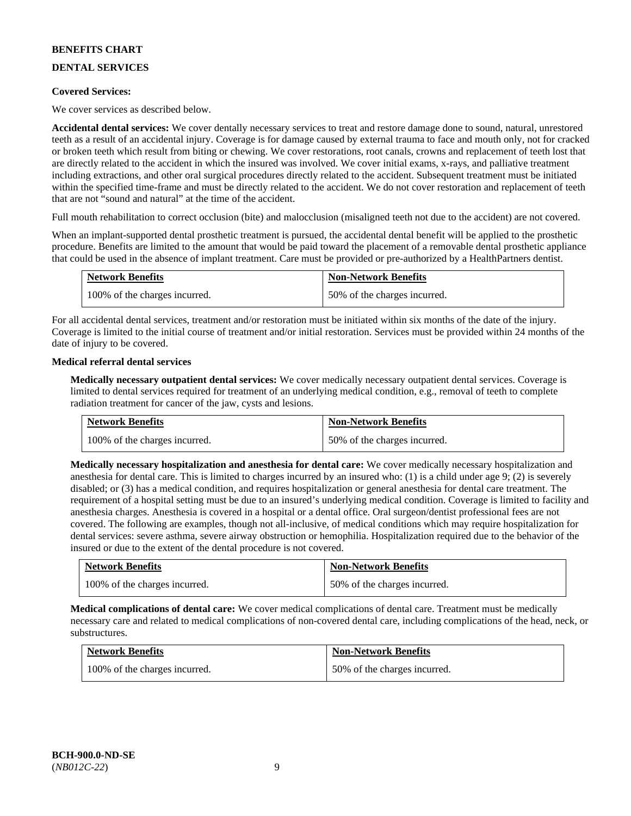# **DENTAL SERVICES**

## **Covered Services:**

We cover services as described below.

**Accidental dental services:** We cover dentally necessary services to treat and restore damage done to sound, natural, unrestored teeth as a result of an accidental injury. Coverage is for damage caused by external trauma to face and mouth only, not for cracked or broken teeth which result from biting or chewing. We cover restorations, root canals, crowns and replacement of teeth lost that are directly related to the accident in which the insured was involved. We cover initial exams, x-rays, and palliative treatment including extractions, and other oral surgical procedures directly related to the accident. Subsequent treatment must be initiated within the specified time-frame and must be directly related to the accident. We do not cover restoration and replacement of teeth that are not "sound and natural" at the time of the accident.

Full mouth rehabilitation to correct occlusion (bite) and malocclusion (misaligned teeth not due to the accident) are not covered.

When an implant-supported dental prosthetic treatment is pursued, the accidental dental benefit will be applied to the prosthetic procedure. Benefits are limited to the amount that would be paid toward the placement of a removable dental prosthetic appliance that could be used in the absence of implant treatment. Care must be provided or pre-authorized by a HealthPartners dentist.

| <b>Network Benefits</b>       | <b>Non-Network Benefits</b>  |
|-------------------------------|------------------------------|
| 100% of the charges incurred. | 50% of the charges incurred. |

For all accidental dental services, treatment and/or restoration must be initiated within six months of the date of the injury. Coverage is limited to the initial course of treatment and/or initial restoration. Services must be provided within 24 months of the date of injury to be covered.

## **Medical referral dental services**

**Medically necessary outpatient dental services:** We cover medically necessary outpatient dental services. Coverage is limited to dental services required for treatment of an underlying medical condition, e.g., removal of teeth to complete radiation treatment for cancer of the jaw, cysts and lesions.

| <b>Network Benefits</b>       | <b>Non-Network Benefits</b>  |
|-------------------------------|------------------------------|
| 100% of the charges incurred. | 50% of the charges incurred. |

**Medically necessary hospitalization and anesthesia for dental care:** We cover medically necessary hospitalization and anesthesia for dental care. This is limited to charges incurred by an insured who: (1) is a child under age 9; (2) is severely disabled; or (3) has a medical condition, and requires hospitalization or general anesthesia for dental care treatment. The requirement of a hospital setting must be due to an insured's underlying medical condition. Coverage is limited to facility and anesthesia charges. Anesthesia is covered in a hospital or a dental office. Oral surgeon/dentist professional fees are not covered. The following are examples, though not all-inclusive, of medical conditions which may require hospitalization for dental services: severe asthma, severe airway obstruction or hemophilia. Hospitalization required due to the behavior of the insured or due to the extent of the dental procedure is not covered.

| <b>Network Benefits</b>       | <b>Non-Network Benefits</b>  |
|-------------------------------|------------------------------|
| 100% of the charges incurred. | 50% of the charges incurred. |

**Medical complications of dental care:** We cover medical complications of dental care. Treatment must be medically necessary care and related to medical complications of non-covered dental care, including complications of the head, neck, or substructures.

| <b>Network Benefits</b>       | <b>Non-Network Benefits</b>  |
|-------------------------------|------------------------------|
| 100% of the charges incurred. | 50% of the charges incurred. |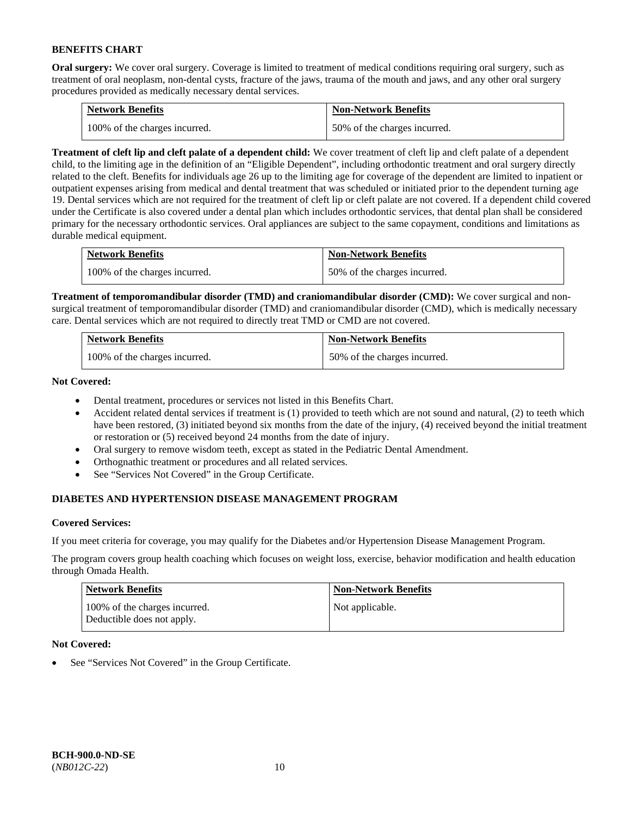**Oral surgery:** We cover oral surgery. Coverage is limited to treatment of medical conditions requiring oral surgery, such as treatment of oral neoplasm, non-dental cysts, fracture of the jaws, trauma of the mouth and jaws, and any other oral surgery procedures provided as medically necessary dental services.

| <b>Network Benefits</b>       | <b>Non-Network Benefits</b>  |
|-------------------------------|------------------------------|
| 100% of the charges incurred. | 50% of the charges incurred. |

**Treatment of cleft lip and cleft palate of a dependent child:** We cover treatment of cleft lip and cleft palate of a dependent child, to the limiting age in the definition of an "Eligible Dependent", including orthodontic treatment and oral surgery directly related to the cleft. Benefits for individuals age 26 up to the limiting age for coverage of the dependent are limited to inpatient or outpatient expenses arising from medical and dental treatment that was scheduled or initiated prior to the dependent turning age 19. Dental services which are not required for the treatment of cleft lip or cleft palate are not covered. If a dependent child covered under the Certificate is also covered under a dental plan which includes orthodontic services, that dental plan shall be considered primary for the necessary orthodontic services. Oral appliances are subject to the same copayment, conditions and limitations as durable medical equipment.

| <b>Network Benefits</b>       | <b>Non-Network Benefits</b>  |
|-------------------------------|------------------------------|
| 100% of the charges incurred. | 50% of the charges incurred. |

**Treatment of temporomandibular disorder (TMD) and craniomandibular disorder (CMD):** We cover surgical and nonsurgical treatment of temporomandibular disorder (TMD) and craniomandibular disorder (CMD), which is medically necessary care. Dental services which are not required to directly treat TMD or CMD are not covered.

| <b>Network Benefits</b>       | <b>Non-Network Benefits</b>  |
|-------------------------------|------------------------------|
| 100% of the charges incurred. | 50% of the charges incurred. |

**Not Covered:** 

- Dental treatment, procedures or services not listed in this Benefits Chart.
- Accident related dental services if treatment is (1) provided to teeth which are not sound and natural, (2) to teeth which have been restored, (3) initiated beyond six months from the date of the injury, (4) received beyond the initial treatment or restoration or (5) received beyond 24 months from the date of injury.
- Oral surgery to remove wisdom teeth, except as stated in the Pediatric Dental Amendment.
- Orthognathic treatment or procedures and all related services.
- See "Services Not Covered" in the Group Certificate.

# **DIABETES AND HYPERTENSION DISEASE MANAGEMENT PROGRAM**

## **Covered Services:**

If you meet criteria for coverage, you may qualify for the Diabetes and/or Hypertension Disease Management Program.

The program covers group health coaching which focuses on weight loss, exercise, behavior modification and health education through Omada Health.

| <b>Network Benefits</b>                                     | <b>Non-Network Benefits</b> |
|-------------------------------------------------------------|-----------------------------|
| 100% of the charges incurred.<br>Deductible does not apply. | Not applicable.             |

## **Not Covered:**

See "Services Not Covered" in the Group Certificate.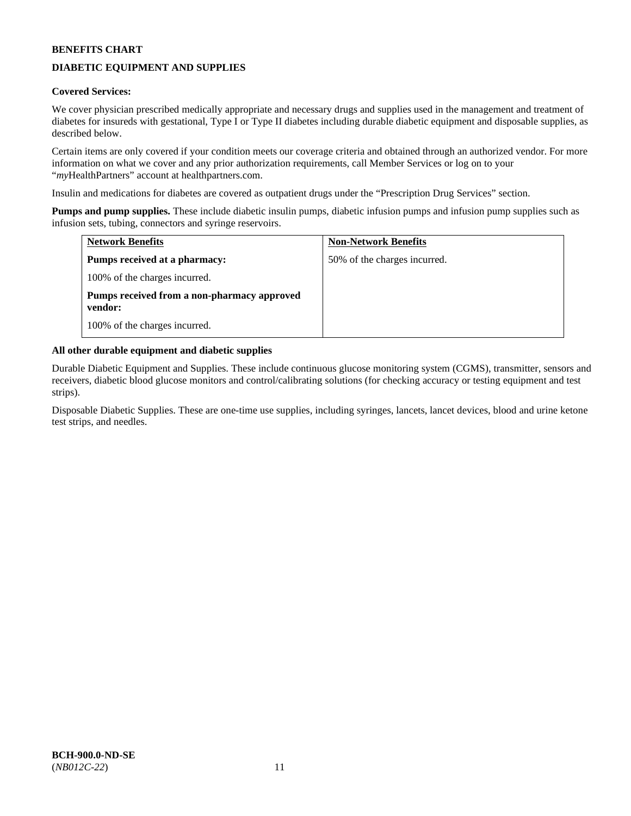# **DIABETIC EQUIPMENT AND SUPPLIES**

## **Covered Services:**

We cover physician prescribed medically appropriate and necessary drugs and supplies used in the management and treatment of diabetes for insureds with gestational, Type I or Type II diabetes including durable diabetic equipment and disposable supplies, as described below.

Certain items are only covered if your condition meets our coverage criteria and obtained through an authorized vendor. For more information on what we cover and any prior authorization requirements, call Member Services or log on to your "*my*HealthPartners" account at [healthpartners.com.](http://www.healthpartners.com/)

Insulin and medications for diabetes are covered as outpatient drugs under the "Prescription Drug Services" section.

**Pumps and pump supplies.** These include diabetic insulin pumps, diabetic infusion pumps and infusion pump supplies such as infusion sets, tubing, connectors and syringe reservoirs.

| <b>Network Benefits</b>                                | <b>Non-Network Benefits</b>  |
|--------------------------------------------------------|------------------------------|
| Pumps received at a pharmacy:                          | 50% of the charges incurred. |
| 100% of the charges incurred.                          |                              |
| Pumps received from a non-pharmacy approved<br>vendor: |                              |
| 100% of the charges incurred.                          |                              |

## **All other durable equipment and diabetic supplies**

Durable Diabetic Equipment and Supplies. These include continuous glucose monitoring system (CGMS), transmitter, sensors and receivers, diabetic blood glucose monitors and control/calibrating solutions (for checking accuracy or testing equipment and test strips).

Disposable Diabetic Supplies. These are one-time use supplies, including syringes, lancets, lancet devices, blood and urine ketone test strips, and needles.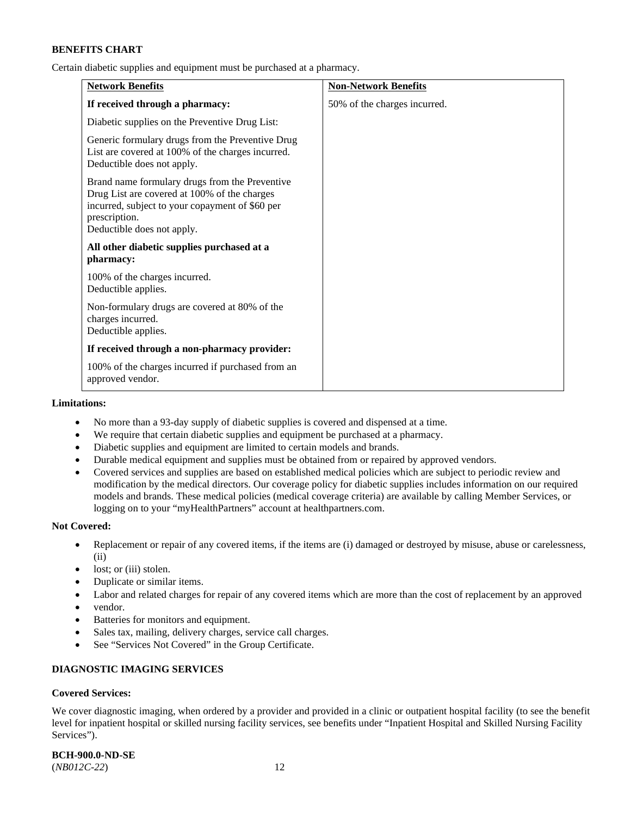Certain diabetic supplies and equipment must be purchased at a pharmacy.

| <b>Network Benefits</b>                                                                                                                                                                          | <b>Non-Network Benefits</b>  |
|--------------------------------------------------------------------------------------------------------------------------------------------------------------------------------------------------|------------------------------|
| If received through a pharmacy:                                                                                                                                                                  | 50% of the charges incurred. |
| Diabetic supplies on the Preventive Drug List:                                                                                                                                                   |                              |
| Generic formulary drugs from the Preventive Drug<br>List are covered at 100% of the charges incurred.<br>Deductible does not apply.                                                              |                              |
| Brand name formulary drugs from the Preventive<br>Drug List are covered at 100% of the charges<br>incurred, subject to your copayment of \$60 per<br>prescription.<br>Deductible does not apply. |                              |
| All other diabetic supplies purchased at a<br>pharmacy:                                                                                                                                          |                              |
| 100% of the charges incurred.<br>Deductible applies.                                                                                                                                             |                              |
| Non-formulary drugs are covered at 80% of the<br>charges incurred.<br>Deductible applies.                                                                                                        |                              |
| If received through a non-pharmacy provider:                                                                                                                                                     |                              |
| 100% of the charges incurred if purchased from an<br>approved vendor.                                                                                                                            |                              |

#### **Limitations:**

- No more than a 93-day supply of diabetic supplies is covered and dispensed at a time.
- We require that certain diabetic supplies and equipment be purchased at a pharmacy.
- Diabetic supplies and equipment are limited to certain models and brands.
- Durable medical equipment and supplies must be obtained from or repaired by approved vendors.
- Covered services and supplies are based on established medical policies which are subject to periodic review and modification by the medical directors. Our coverage policy for diabetic supplies includes information on our required models and brands. These medical policies (medical coverage criteria) are available by calling Member Services, or logging on to your "myHealthPartners" account a[t healthpartners.com.](http://www.healthpartners.com/)

## **Not Covered:**

- Replacement or repair of any covered items, if the items are (i) damaged or destroyed by misuse, abuse or carelessness, (ii)
- lost; or (iii) stolen.
- Duplicate or similar items.
- Labor and related charges for repair of any covered items which are more than the cost of replacement by an approved
- vendor.
- Batteries for monitors and equipment.
- Sales tax, mailing, delivery charges, service call charges.
- See "Services Not Covered" in the Group Certificate.

# **DIAGNOSTIC IMAGING SERVICES**

## **Covered Services:**

We cover diagnostic imaging, when ordered by a provider and provided in a clinic or outpatient hospital facility (to see the benefit level for inpatient hospital or skilled nursing facility services, see benefits under "Inpatient Hospital and Skilled Nursing Facility Services").

**BCH-900.0-ND-SE** (*NB012C-22*) 12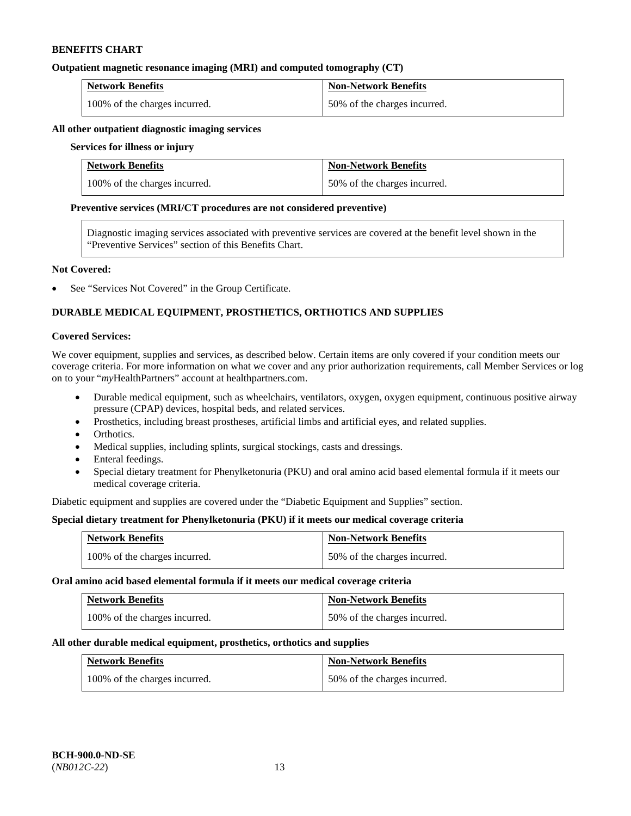## **Outpatient magnetic resonance imaging (MRI) and computed tomography (CT)**

| <b>Network Benefits</b>       | <b>Non-Network Benefits</b>  |
|-------------------------------|------------------------------|
| 100% of the charges incurred. | 50% of the charges incurred. |

## **All other outpatient diagnostic imaging services**

#### **Services for illness or injury**

| <b>Network Benefits</b>       | <b>Non-Network Benefits</b>  |
|-------------------------------|------------------------------|
| 100% of the charges incurred. | 50% of the charges incurred. |

#### **Preventive services (MRI/CT procedures are not considered preventive)**

Diagnostic imaging services associated with preventive services are covered at the benefit level shown in the "Preventive Services" section of this Benefits Chart.

## **Not Covered:**

See "Services Not Covered" in the Group Certificate.

# **DURABLE MEDICAL EQUIPMENT, PROSTHETICS, ORTHOTICS AND SUPPLIES**

## **Covered Services:**

We cover equipment, supplies and services, as described below. Certain items are only covered if your condition meets our coverage criteria. For more information on what we cover and any prior authorization requirements, call Member Services or log on to your "*my*HealthPartners" account at [healthpartners.com.](http://www.healthpartners.com/)

- Durable medical equipment, such as wheelchairs, ventilators, oxygen, oxygen equipment, continuous positive airway pressure (CPAP) devices, hospital beds, and related services.
- Prosthetics, including breast prostheses, artificial limbs and artificial eyes, and related supplies.
- Orthotics.
- Medical supplies, including splints, surgical stockings, casts and dressings.
- Enteral feedings.
- Special dietary treatment for Phenylketonuria (PKU) and oral amino acid based elemental formula if it meets our medical coverage criteria.

Diabetic equipment and supplies are covered under the "Diabetic Equipment and Supplies" section.

## **Special dietary treatment for Phenylketonuria (PKU) if it meets our medical coverage criteria**

| <b>Network Benefits</b>       | <b>Non-Network Benefits</b>  |
|-------------------------------|------------------------------|
| 100% of the charges incurred. | 50% of the charges incurred. |

**Oral amino acid based elemental formula if it meets our medical coverage criteria** 

| <b>Network Benefits</b>       | <b>Non-Network Benefits</b>  |
|-------------------------------|------------------------------|
| 100% of the charges incurred. | 50% of the charges incurred. |

#### **All other durable medical equipment, prosthetics, orthotics and supplies**

| <b>Network Benefits</b>       | <b>Non-Network Benefits</b>  |
|-------------------------------|------------------------------|
| 100% of the charges incurred. | 50% of the charges incurred. |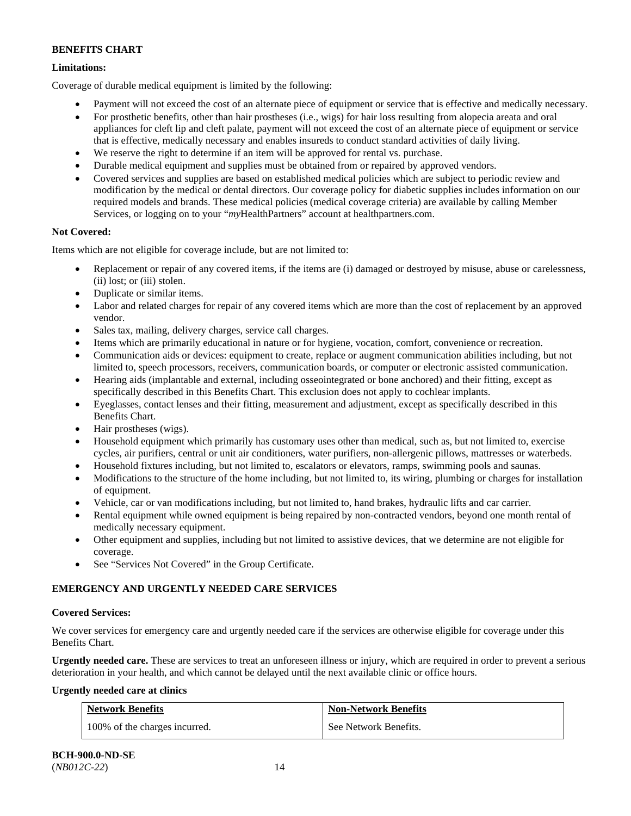# **Limitations:**

Coverage of durable medical equipment is limited by the following:

- Payment will not exceed the cost of an alternate piece of equipment or service that is effective and medically necessary.
- For prosthetic benefits, other than hair prostheses (i.e., wigs) for hair loss resulting from alopecia areata and oral appliances for cleft lip and cleft palate, payment will not exceed the cost of an alternate piece of equipment or service that is effective, medically necessary and enables insureds to conduct standard activities of daily living.
- We reserve the right to determine if an item will be approved for rental vs. purchase.
- Durable medical equipment and supplies must be obtained from or repaired by approved vendors.
- Covered services and supplies are based on established medical policies which are subject to periodic review and modification by the medical or dental directors. Our coverage policy for diabetic supplies includes information on our required models and brands. These medical policies (medical coverage criteria) are available by calling Member Services, or logging on to your "*my*HealthPartners" account at [healthpartners.com.](http://www.healthpartners.com/)

# **Not Covered:**

Items which are not eligible for coverage include, but are not limited to:

- Replacement or repair of any covered items, if the items are (i) damaged or destroyed by misuse, abuse or carelessness, (ii) lost; or (iii) stolen.
- Duplicate or similar items.
- Labor and related charges for repair of any covered items which are more than the cost of replacement by an approved vendor.
- Sales tax, mailing, delivery charges, service call charges.
- Items which are primarily educational in nature or for hygiene, vocation, comfort, convenience or recreation.
- Communication aids or devices: equipment to create, replace or augment communication abilities including, but not limited to, speech processors, receivers, communication boards, or computer or electronic assisted communication.
- Hearing aids (implantable and external, including osseointegrated or bone anchored) and their fitting, except as specifically described in this Benefits Chart. This exclusion does not apply to cochlear implants.
- Eyeglasses, contact lenses and their fitting, measurement and adjustment, except as specifically described in this Benefits Chart.
- Hair prostheses (wigs).
- Household equipment which primarily has customary uses other than medical, such as, but not limited to, exercise cycles, air purifiers, central or unit air conditioners, water purifiers, non-allergenic pillows, mattresses or waterbeds.
- Household fixtures including, but not limited to, escalators or elevators, ramps, swimming pools and saunas.
- Modifications to the structure of the home including, but not limited to, its wiring, plumbing or charges for installation of equipment.
- Vehicle, car or van modifications including, but not limited to, hand brakes, hydraulic lifts and car carrier.
- Rental equipment while owned equipment is being repaired by non-contracted vendors, beyond one month rental of medically necessary equipment.
- Other equipment and supplies, including but not limited to assistive devices, that we determine are not eligible for coverage.
- See "Services Not Covered" in the Group Certificate.

# **EMERGENCY AND URGENTLY NEEDED CARE SERVICES**

## **Covered Services:**

We cover services for emergency care and urgently needed care if the services are otherwise eligible for coverage under this Benefits Chart.

**Urgently needed care.** These are services to treat an unforeseen illness or injury, which are required in order to prevent a serious deterioration in your health, and which cannot be delayed until the next available clinic or office hours.

## **Urgently needed care at clinics**

| <b>Network Benefits</b>       | <b>Non-Network Benefits</b> |
|-------------------------------|-----------------------------|
| 100% of the charges incurred. | See Network Benefits.       |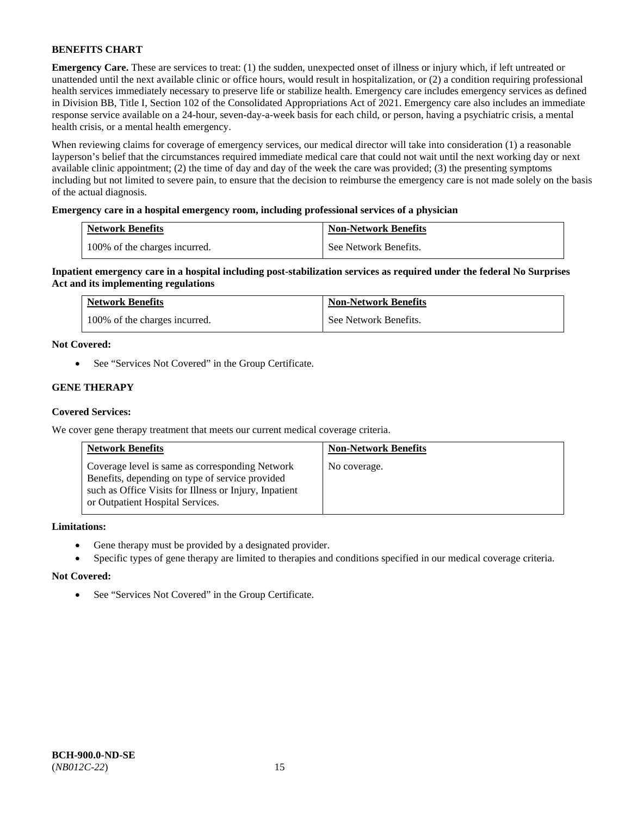**Emergency Care.** These are services to treat: (1) the sudden, unexpected onset of illness or injury which, if left untreated or unattended until the next available clinic or office hours, would result in hospitalization, or (2) a condition requiring professional health services immediately necessary to preserve life or stabilize health. Emergency care includes emergency services as defined in Division BB, Title I, Section 102 of the Consolidated Appropriations Act of 2021. Emergency care also includes an immediate response service available on a 24-hour, seven-day-a-week basis for each child, or person, having a psychiatric crisis, a mental health crisis, or a mental health emergency.

When reviewing claims for coverage of emergency services, our medical director will take into consideration (1) a reasonable layperson's belief that the circumstances required immediate medical care that could not wait until the next working day or next available clinic appointment; (2) the time of day and day of the week the care was provided; (3) the presenting symptoms including but not limited to severe pain, to ensure that the decision to reimburse the emergency care is not made solely on the basis of the actual diagnosis.

## **Emergency care in a hospital emergency room, including professional services of a physician**

| <b>Network Benefits</b>       | <b>Non-Network Benefits</b> |
|-------------------------------|-----------------------------|
| 100% of the charges incurred. | See Network Benefits.       |

**Inpatient emergency care in a hospital including post-stabilization services as required under the federal No Surprises Act and its implementing regulations**

| <b>Network Benefits</b>       | <b>Non-Network Benefits</b> |
|-------------------------------|-----------------------------|
| 100% of the charges incurred. | See Network Benefits.       |

## **Not Covered:**

• See "Services Not Covered" in the Group Certificate.

## **GENE THERAPY**

## **Covered Services:**

We cover gene therapy treatment that meets our current medical coverage criteria.

| <b>Network Benefits</b>                                                                                                                                                                          | <b>Non-Network Benefits</b> |
|--------------------------------------------------------------------------------------------------------------------------------------------------------------------------------------------------|-----------------------------|
| Coverage level is same as corresponding Network<br>Benefits, depending on type of service provided<br>such as Office Visits for Illness or Injury, Inpatient<br>or Outpatient Hospital Services. | No coverage.                |

## **Limitations:**

- Gene therapy must be provided by a designated provider.
- Specific types of gene therapy are limited to therapies and conditions specified in our medical coverage criteria.

#### **Not Covered:**

• See "Services Not Covered" in the Group Certificate.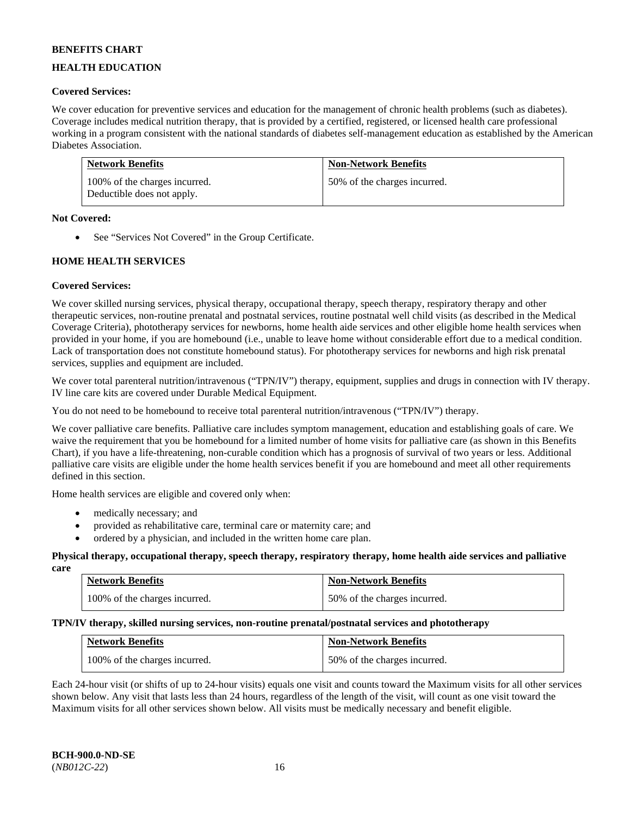## **HEALTH EDUCATION**

## **Covered Services:**

We cover education for preventive services and education for the management of chronic health problems (such as diabetes). Coverage includes medical nutrition therapy, that is provided by a certified, registered, or licensed health care professional working in a program consistent with the national standards of diabetes self-management education as established by the American Diabetes Association.

| <b>Network Benefits</b>                                     | <b>Non-Network Benefits</b>  |
|-------------------------------------------------------------|------------------------------|
| 100% of the charges incurred.<br>Deductible does not apply. | 50% of the charges incurred. |

## **Not Covered:**

• See "Services Not Covered" in the Group Certificate.

## **HOME HEALTH SERVICES**

## **Covered Services:**

We cover skilled nursing services, physical therapy, occupational therapy, speech therapy, respiratory therapy and other therapeutic services, non-routine prenatal and postnatal services, routine postnatal well child visits (as described in the Medical Coverage Criteria), phototherapy services for newborns, home health aide services and other eligible home health services when provided in your home, if you are homebound (i.e., unable to leave home without considerable effort due to a medical condition. Lack of transportation does not constitute homebound status). For phototherapy services for newborns and high risk prenatal services, supplies and equipment are included.

We cover total parenteral nutrition/intravenous ("TPN/IV") therapy, equipment, supplies and drugs in connection with IV therapy. IV line care kits are covered under Durable Medical Equipment.

You do not need to be homebound to receive total parenteral nutrition/intravenous ("TPN/IV") therapy.

We cover palliative care benefits. Palliative care includes symptom management, education and establishing goals of care. We waive the requirement that you be homebound for a limited number of home visits for palliative care (as shown in this Benefits Chart), if you have a life-threatening, non-curable condition which has a prognosis of survival of two years or less. Additional palliative care visits are eligible under the home health services benefit if you are homebound and meet all other requirements defined in this section.

Home health services are eligible and covered only when:

- medically necessary; and
- provided as rehabilitative care, terminal care or maternity care; and
- ordered by a physician, and included in the written home care plan.

#### **Physical therapy, occupational therapy, speech therapy, respiratory therapy, home health aide services and palliative care**

| <b>Network Benefits</b>       | <b>Non-Network Benefits</b>  |
|-------------------------------|------------------------------|
| 100% of the charges incurred. | 50% of the charges incurred. |

## **TPN/IV therapy, skilled nursing services, non-routine prenatal/postnatal services and phototherapy**

| <b>Network Benefits</b>       | <b>Non-Network Benefits</b>  |
|-------------------------------|------------------------------|
| 100% of the charges incurred. | 50% of the charges incurred. |

Each 24-hour visit (or shifts of up to 24-hour visits) equals one visit and counts toward the Maximum visits for all other services shown below. Any visit that lasts less than 24 hours, regardless of the length of the visit, will count as one visit toward the Maximum visits for all other services shown below. All visits must be medically necessary and benefit eligible.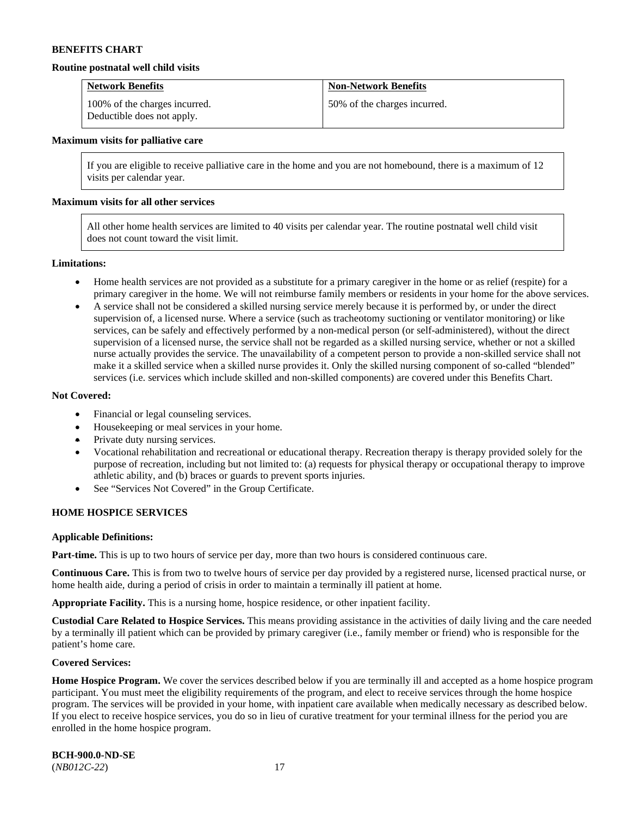#### **Routine postnatal well child visits**

| <b>Network Benefits</b>                                     | <b>Non-Network Benefits</b>  |
|-------------------------------------------------------------|------------------------------|
| 100% of the charges incurred.<br>Deductible does not apply. | 50% of the charges incurred. |

#### **Maximum visits for palliative care**

If you are eligible to receive palliative care in the home and you are not homebound, there is a maximum of 12 visits per calendar year.

#### **Maximum visits for all other services**

All other home health services are limited to 40 visits per calendar year. The routine postnatal well child visit does not count toward the visit limit.

#### **Limitations:**

- Home health services are not provided as a substitute for a primary caregiver in the home or as relief (respite) for a primary caregiver in the home. We will not reimburse family members or residents in your home for the above services.
- A service shall not be considered a skilled nursing service merely because it is performed by, or under the direct supervision of, a licensed nurse. Where a service (such as tracheotomy suctioning or ventilator monitoring) or like services, can be safely and effectively performed by a non-medical person (or self-administered), without the direct supervision of a licensed nurse, the service shall not be regarded as a skilled nursing service, whether or not a skilled nurse actually provides the service. The unavailability of a competent person to provide a non-skilled service shall not make it a skilled service when a skilled nurse provides it. Only the skilled nursing component of so-called "blended" services (i.e. services which include skilled and non-skilled components) are covered under this Benefits Chart.

#### **Not Covered:**

- Financial or legal counseling services.
- Housekeeping or meal services in your home.
- Private duty nursing services.
- Vocational rehabilitation and recreational or educational therapy. Recreation therapy is therapy provided solely for the purpose of recreation, including but not limited to: (a) requests for physical therapy or occupational therapy to improve athletic ability, and (b) braces or guards to prevent sports injuries.
- See "Services Not Covered" in the Group Certificate.

## **HOME HOSPICE SERVICES**

#### **Applicable Definitions:**

**Part-time.** This is up to two hours of service per day, more than two hours is considered continuous care.

**Continuous Care.** This is from two to twelve hours of service per day provided by a registered nurse, licensed practical nurse, or home health aide, during a period of crisis in order to maintain a terminally ill patient at home.

**Appropriate Facility.** This is a nursing home, hospice residence, or other inpatient facility.

**Custodial Care Related to Hospice Services.** This means providing assistance in the activities of daily living and the care needed by a terminally ill patient which can be provided by primary caregiver (i.e., family member or friend) who is responsible for the patient's home care.

#### **Covered Services:**

Home Hospice Program. We cover the services described below if you are terminally ill and accepted as a home hospice program participant. You must meet the eligibility requirements of the program, and elect to receive services through the home hospice program. The services will be provided in your home, with inpatient care available when medically necessary as described below. If you elect to receive hospice services, you do so in lieu of curative treatment for your terminal illness for the period you are enrolled in the home hospice program.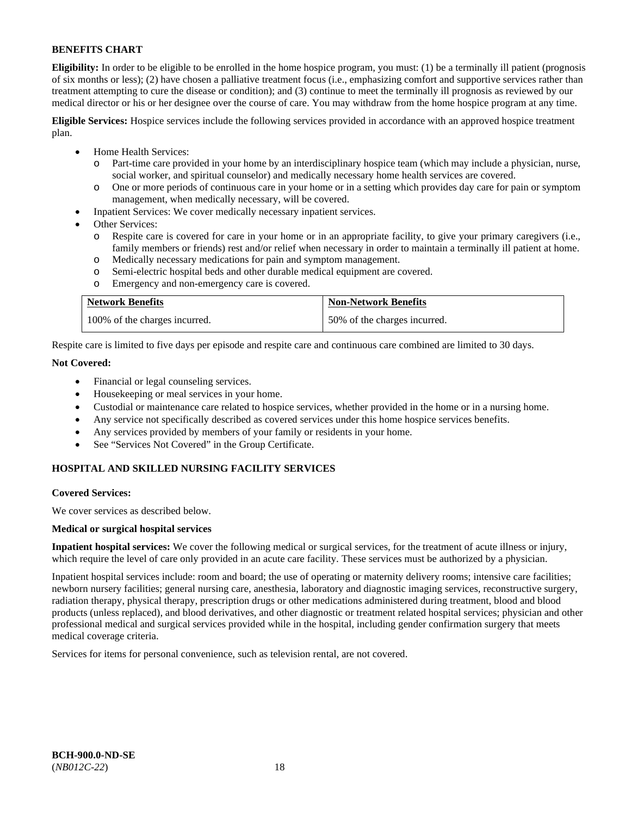**Eligibility:** In order to be eligible to be enrolled in the home hospice program, you must: (1) be a terminally ill patient (prognosis of six months or less); (2) have chosen a palliative treatment focus (i.e., emphasizing comfort and supportive services rather than treatment attempting to cure the disease or condition); and (3) continue to meet the terminally ill prognosis as reviewed by our medical director or his or her designee over the course of care. You may withdraw from the home hospice program at any time.

**Eligible Services:** Hospice services include the following services provided in accordance with an approved hospice treatment plan.

- Home Health Services:
	- o Part-time care provided in your home by an interdisciplinary hospice team (which may include a physician, nurse, social worker, and spiritual counselor) and medically necessary home health services are covered.
	- o One or more periods of continuous care in your home or in a setting which provides day care for pain or symptom management, when medically necessary, will be covered.
- Inpatient Services: We cover medically necessary inpatient services.
- Other Services:
	- Respite care is covered for care in your home or in an appropriate facility, to give your primary caregivers (i.e., family members or friends) rest and/or relief when necessary in order to maintain a terminally ill patient at home.
	- o Medically necessary medications for pain and symptom management.
	- Semi-electric hospital beds and other durable medical equipment are covered.
	- o Emergency and non-emergency care is covered.

| <b>Network Benefits</b>       | <b>Non-Network Benefits</b>  |
|-------------------------------|------------------------------|
| 100% of the charges incurred. | 50% of the charges incurred. |

Respite care is limited to five days per episode and respite care and continuous care combined are limited to 30 days.

## **Not Covered:**

- Financial or legal counseling services.
- Housekeeping or meal services in your home.
- Custodial or maintenance care related to hospice services, whether provided in the home or in a nursing home.
- Any service not specifically described as covered services under this home hospice services benefits.
- Any services provided by members of your family or residents in your home.
- See "Services Not Covered" in the Group Certificate.

## **HOSPITAL AND SKILLED NURSING FACILITY SERVICES**

#### **Covered Services:**

We cover services as described below.

#### **Medical or surgical hospital services**

**Inpatient hospital services:** We cover the following medical or surgical services, for the treatment of acute illness or injury, which require the level of care only provided in an acute care facility. These services must be authorized by a physician.

Inpatient hospital services include: room and board; the use of operating or maternity delivery rooms; intensive care facilities; newborn nursery facilities; general nursing care, anesthesia, laboratory and diagnostic imaging services, reconstructive surgery, radiation therapy, physical therapy, prescription drugs or other medications administered during treatment, blood and blood products (unless replaced), and blood derivatives, and other diagnostic or treatment related hospital services; physician and other professional medical and surgical services provided while in the hospital, including gender confirmation surgery that meets medical coverage criteria.

Services for items for personal convenience, such as television rental, are not covered.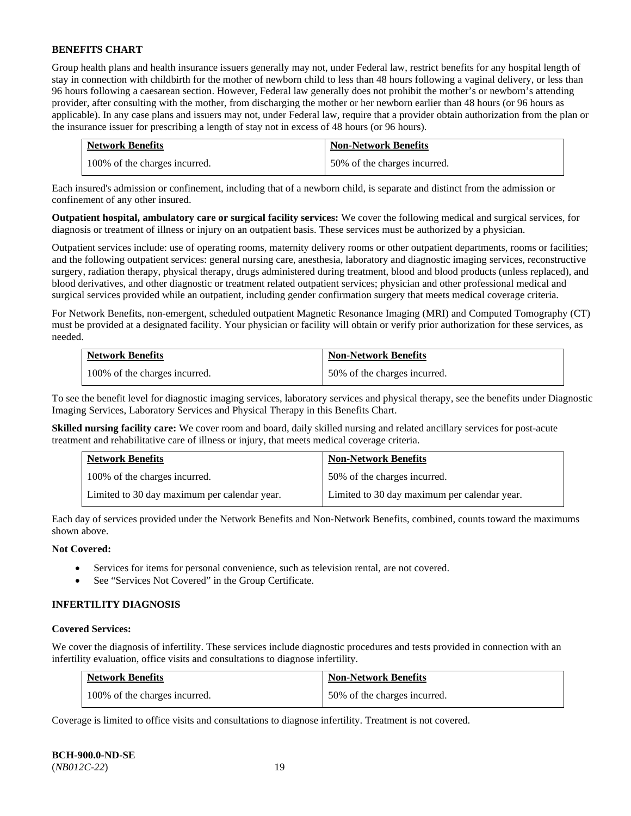Group health plans and health insurance issuers generally may not, under Federal law, restrict benefits for any hospital length of stay in connection with childbirth for the mother of newborn child to less than 48 hours following a vaginal delivery, or less than 96 hours following a caesarean section. However, Federal law generally does not prohibit the mother's or newborn's attending provider, after consulting with the mother, from discharging the mother or her newborn earlier than 48 hours (or 96 hours as applicable). In any case plans and issuers may not, under Federal law, require that a provider obtain authorization from the plan or the insurance issuer for prescribing a length of stay not in excess of 48 hours (or 96 hours).

| <b>Network Benefits</b>       | <b>Non-Network Benefits</b>  |
|-------------------------------|------------------------------|
| 100% of the charges incurred. | 50% of the charges incurred. |

Each insured's admission or confinement, including that of a newborn child, is separate and distinct from the admission or confinement of any other insured.

**Outpatient hospital, ambulatory care or surgical facility services:** We cover the following medical and surgical services, for diagnosis or treatment of illness or injury on an outpatient basis. These services must be authorized by a physician.

Outpatient services include: use of operating rooms, maternity delivery rooms or other outpatient departments, rooms or facilities; and the following outpatient services: general nursing care, anesthesia, laboratory and diagnostic imaging services, reconstructive surgery, radiation therapy, physical therapy, drugs administered during treatment, blood and blood products (unless replaced), and blood derivatives, and other diagnostic or treatment related outpatient services; physician and other professional medical and surgical services provided while an outpatient, including gender confirmation surgery that meets medical coverage criteria.

For Network Benefits, non-emergent, scheduled outpatient Magnetic Resonance Imaging (MRI) and Computed Tomography (CT) must be provided at a designated facility. Your physician or facility will obtain or verify prior authorization for these services, as needed.

| <b>Network Benefits</b>       | <b>Non-Network Benefits</b>  |
|-------------------------------|------------------------------|
| 100% of the charges incurred. | 50% of the charges incurred. |

To see the benefit level for diagnostic imaging services, laboratory services and physical therapy, see the benefits under Diagnostic Imaging Services, Laboratory Services and Physical Therapy in this Benefits Chart.

**Skilled nursing facility care:** We cover room and board, daily skilled nursing and related ancillary services for post-acute treatment and rehabilitative care of illness or injury, that meets medical coverage criteria.

| <b>Network Benefits</b>                      | <b>Non-Network Benefits</b>                  |
|----------------------------------------------|----------------------------------------------|
| 100% of the charges incurred.                | 50% of the charges incurred.                 |
| Limited to 30 day maximum per calendar year. | Limited to 30 day maximum per calendar year. |

Each day of services provided under the Network Benefits and Non-Network Benefits, combined, counts toward the maximums shown above.

## **Not Covered:**

- Services for items for personal convenience, such as television rental, are not covered.
- See "Services Not Covered" in the Group Certificate.

## **INFERTILITY DIAGNOSIS**

## **Covered Services:**

We cover the diagnosis of infertility. These services include diagnostic procedures and tests provided in connection with an infertility evaluation, office visits and consultations to diagnose infertility.

| <b>Network Benefits</b>       | <b>Non-Network Benefits</b>  |
|-------------------------------|------------------------------|
| 100% of the charges incurred. | 50% of the charges incurred. |

Coverage is limited to office visits and consultations to diagnose infertility. Treatment is not covered.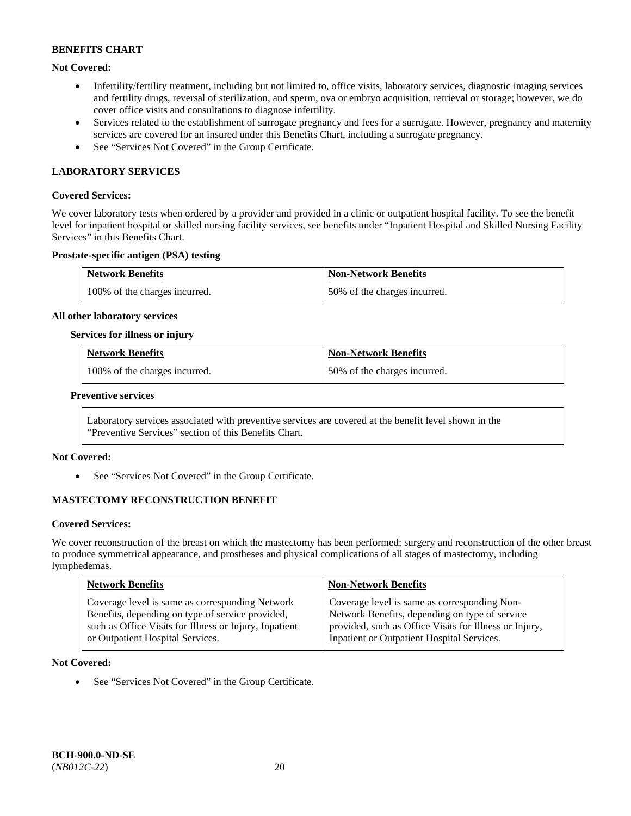## **Not Covered:**

- Infertility/fertility treatment, including but not limited to, office visits, laboratory services, diagnostic imaging services and fertility drugs, reversal of sterilization, and sperm, ova or embryo acquisition, retrieval or storage; however, we do cover office visits and consultations to diagnose infertility.
- Services related to the establishment of surrogate pregnancy and fees for a surrogate. However, pregnancy and maternity services are covered for an insured under this Benefits Chart, including a surrogate pregnancy.
- See "Services Not Covered" in the Group Certificate.

## **LABORATORY SERVICES**

#### **Covered Services:**

We cover laboratory tests when ordered by a provider and provided in a clinic or outpatient hospital facility. To see the benefit level for inpatient hospital or skilled nursing facility services, see benefits under "Inpatient Hospital and Skilled Nursing Facility Services" in this Benefits Chart.

## **Prostate-specific antigen (PSA) testing**

| <b>Network Benefits</b>       | <b>Non-Network Benefits</b>  |
|-------------------------------|------------------------------|
| 100% of the charges incurred. | 50% of the charges incurred. |

#### **All other laboratory services**

#### **Services for illness or injury**

| <b>Network Benefits</b>       | <b>Non-Network Benefits</b>  |
|-------------------------------|------------------------------|
| 100% of the charges incurred. | 50% of the charges incurred. |

### **Preventive services**

Laboratory services associated with preventive services are covered at the benefit level shown in the "Preventive Services" section of this Benefits Chart.

#### **Not Covered:**

See "Services Not Covered" in the Group Certificate.

## **MASTECTOMY RECONSTRUCTION BENEFIT**

#### **Covered Services:**

We cover reconstruction of the breast on which the mastectomy has been performed; surgery and reconstruction of the other breast to produce symmetrical appearance, and prostheses and physical complications of all stages of mastectomy, including lymphedemas.

| <b>Network Benefits</b>                                | <b>Non-Network Benefits</b>                            |
|--------------------------------------------------------|--------------------------------------------------------|
| Coverage level is same as corresponding Network        | Coverage level is same as corresponding Non-           |
| Benefits, depending on type of service provided,       | Network Benefits, depending on type of service         |
| such as Office Visits for Illness or Injury, Inpatient | provided, such as Office Visits for Illness or Injury, |
| or Outpatient Hospital Services.                       | Inpatient or Outpatient Hospital Services.             |

#### **Not Covered:**

• See "Services Not Covered" in the Group Certificate.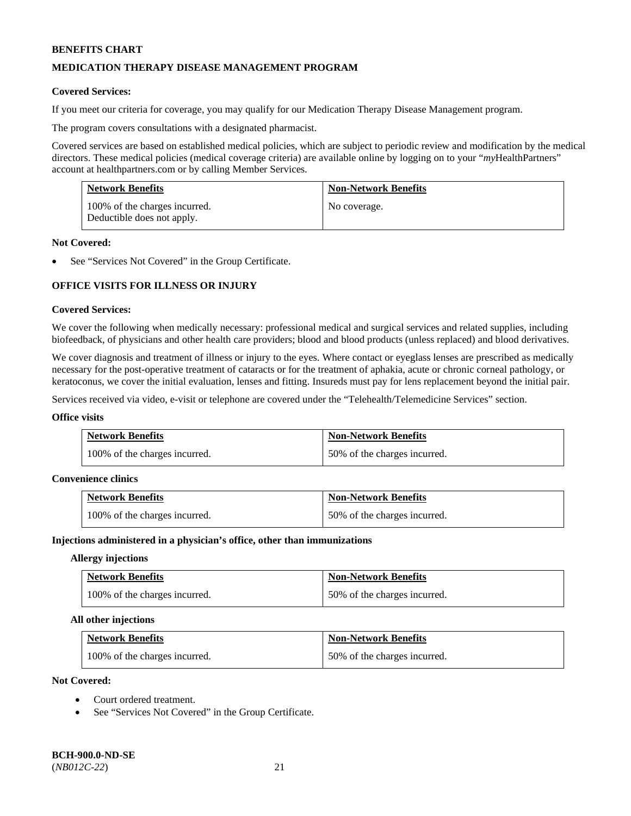## **MEDICATION THERAPY DISEASE MANAGEMENT PROGRAM**

## **Covered Services:**

If you meet our criteria for coverage, you may qualify for our Medication Therapy Disease Management program.

The program covers consultations with a designated pharmacist.

Covered services are based on established medical policies, which are subject to periodic review and modification by the medical directors. These medical policies (medical coverage criteria) are available online by logging on to your "*my*HealthPartners" account a[t healthpartners.com](http://www.healthpartners.com/) or by calling Member Services.

| <b>Network Benefits</b>                                     | <b>Non-Network Benefits</b> |
|-------------------------------------------------------------|-----------------------------|
| 100% of the charges incurred.<br>Deductible does not apply. | No coverage.                |

#### **Not Covered:**

See "Services Not Covered" in the Group Certificate.

# **OFFICE VISITS FOR ILLNESS OR INJURY**

## **Covered Services:**

We cover the following when medically necessary: professional medical and surgical services and related supplies, including biofeedback, of physicians and other health care providers; blood and blood products (unless replaced) and blood derivatives.

We cover diagnosis and treatment of illness or injury to the eyes. Where contact or eyeglass lenses are prescribed as medically necessary for the post-operative treatment of cataracts or for the treatment of aphakia, acute or chronic corneal pathology, or keratoconus, we cover the initial evaluation, lenses and fitting. Insureds must pay for lens replacement beyond the initial pair.

Services received via video, e-visit or telephone are covered under the "Telehealth/Telemedicine Services" section.

#### **Office visits**

| <b>Network Benefits</b>       | <b>Non-Network Benefits</b>  |
|-------------------------------|------------------------------|
| 100% of the charges incurred. | 50% of the charges incurred. |

#### **Convenience clinics**

| <b>Network Benefits</b>       | <b>Non-Network Benefits</b>  |
|-------------------------------|------------------------------|
| 100% of the charges incurred. | 50% of the charges incurred. |

#### **Injections administered in a physician's office, other than immunizations**

#### **Allergy injections**

| <b>Network Benefits</b>       | <b>Non-Network Benefits</b>  |
|-------------------------------|------------------------------|
| 100% of the charges incurred. | 50% of the charges incurred. |

#### **All other injections**

| <b>Network Benefits</b>       | <b>Non-Network Benefits</b>  |
|-------------------------------|------------------------------|
| 100% of the charges incurred. | 50% of the charges incurred. |

## **Not Covered:**

- Court ordered treatment.
- See "Services Not Covered" in the Group Certificate.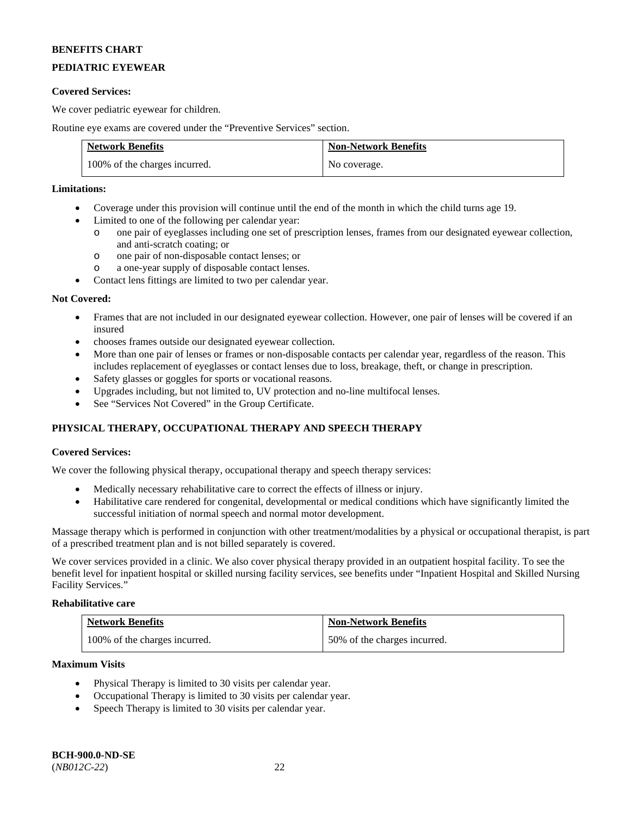# **PEDIATRIC EYEWEAR**

## **Covered Services:**

We cover pediatric eyewear for children.

Routine eye exams are covered under the "Preventive Services" section.

| <b>Network Benefits</b>       | <b>Non-Network Benefits</b> |
|-------------------------------|-----------------------------|
| 100% of the charges incurred. | No coverage.                |

## **Limitations:**

- Coverage under this provision will continue until the end of the month in which the child turns age 19.
- Limited to one of the following per calendar year:
	- o one pair of eyeglasses including one set of prescription lenses, frames from our designated eyewear collection, and anti-scratch coating; or
	- o one pair of non-disposable contact lenses; or
	- o a one-year supply of disposable contact lenses.
- Contact lens fittings are limited to two per calendar year.

## **Not Covered:**

- Frames that are not included in our designated eyewear collection. However, one pair of lenses will be covered if an insured
- chooses frames outside our designated eyewear collection.
- More than one pair of lenses or frames or non-disposable contacts per calendar year, regardless of the reason. This includes replacement of eyeglasses or contact lenses due to loss, breakage, theft, or change in prescription.
- Safety glasses or goggles for sports or vocational reasons.
- Upgrades including, but not limited to, UV protection and no-line multifocal lenses.
- See "Services Not Covered" in the Group Certificate.

# **PHYSICAL THERAPY, OCCUPATIONAL THERAPY AND SPEECH THERAPY**

## **Covered Services:**

We cover the following physical therapy, occupational therapy and speech therapy services:

- Medically necessary rehabilitative care to correct the effects of illness or injury.
- Habilitative care rendered for congenital, developmental or medical conditions which have significantly limited the successful initiation of normal speech and normal motor development.

Massage therapy which is performed in conjunction with other treatment/modalities by a physical or occupational therapist, is part of a prescribed treatment plan and is not billed separately is covered.

We cover services provided in a clinic. We also cover physical therapy provided in an outpatient hospital facility. To see the benefit level for inpatient hospital or skilled nursing facility services, see benefits under "Inpatient Hospital and Skilled Nursing Facility Services."

## **Rehabilitative care**

| <b>Network Benefits</b>       | <b>Non-Network Benefits</b>  |
|-------------------------------|------------------------------|
| 100% of the charges incurred. | 50% of the charges incurred. |

### **Maximum Visits**

- Physical Therapy is limited to 30 visits per calendar year.
- Occupational Therapy is limited to 30 visits per calendar year.
- Speech Therapy is limited to 30 visits per calendar year.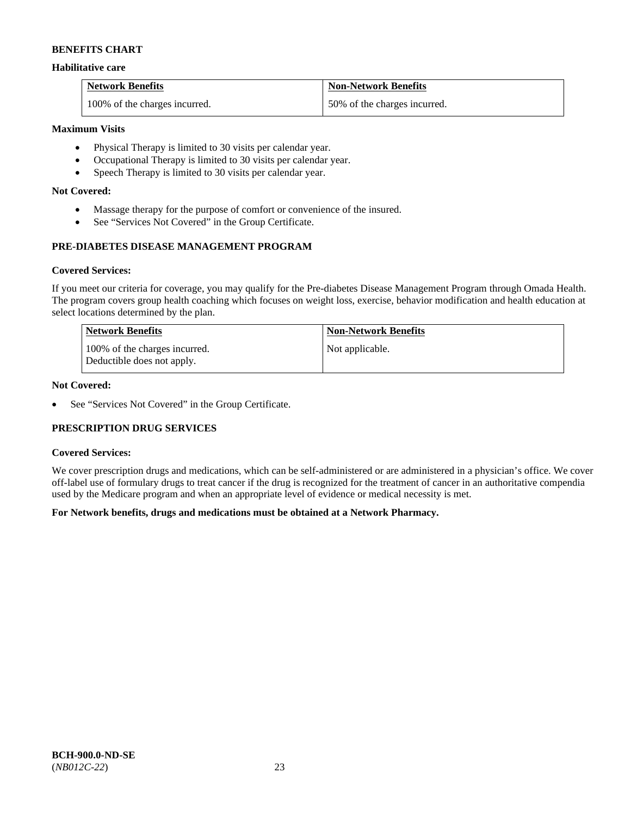## **Habilitative care**

| <b>Network Benefits</b>       | <b>Non-Network Benefits</b>  |
|-------------------------------|------------------------------|
| 100% of the charges incurred. | 50% of the charges incurred. |

## **Maximum Visits**

- Physical Therapy is limited to 30 visits per calendar year.
- Occupational Therapy is limited to 30 visits per calendar year.
- Speech Therapy is limited to 30 visits per calendar year.

## **Not Covered:**

- Massage therapy for the purpose of comfort or convenience of the insured.
- See "Services Not Covered" in the Group Certificate.

# **PRE-DIABETES DISEASE MANAGEMENT PROGRAM**

## **Covered Services:**

If you meet our criteria for coverage, you may qualify for the Pre-diabetes Disease Management Program through Omada Health. The program covers group health coaching which focuses on weight loss, exercise, behavior modification and health education at select locations determined by the plan.

| Network Benefits                                            | <b>Non-Network Benefits</b> |
|-------------------------------------------------------------|-----------------------------|
| 100% of the charges incurred.<br>Deductible does not apply. | Not applicable.             |

## **Not Covered:**

• See "Services Not Covered" in the Group Certificate.

## **PRESCRIPTION DRUG SERVICES**

#### **Covered Services:**

We cover prescription drugs and medications, which can be self-administered or are administered in a physician's office. We cover off-label use of formulary drugs to treat cancer if the drug is recognized for the treatment of cancer in an authoritative compendia used by the Medicare program and when an appropriate level of evidence or medical necessity is met.

## **For Network benefits, drugs and medications must be obtained at a Network Pharmacy.**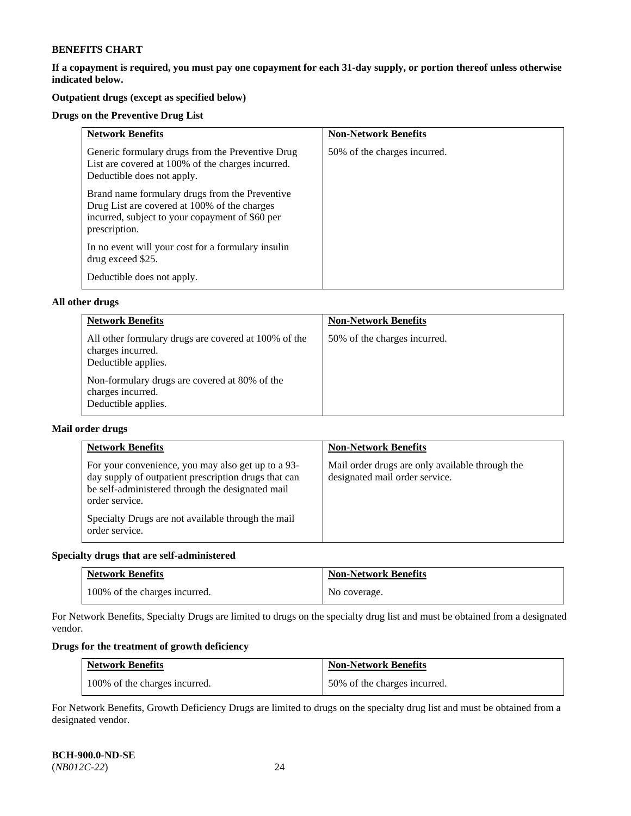**If a copayment is required, you must pay one copayment for each 31-day supply, or portion thereof unless otherwise indicated below.** 

# **Outpatient drugs (except as specified below)**

## **Drugs on the Preventive Drug List**

| <b>Network Benefits</b>                                                                                                                                            | <b>Non-Network Benefits</b>  |
|--------------------------------------------------------------------------------------------------------------------------------------------------------------------|------------------------------|
| Generic formulary drugs from the Preventive Drug<br>List are covered at 100% of the charges incurred.<br>Deductible does not apply.                                | 50% of the charges incurred. |
| Brand name formulary drugs from the Preventive<br>Drug List are covered at 100% of the charges<br>incurred, subject to your copayment of \$60 per<br>prescription. |                              |
| In no event will your cost for a formulary insulin<br>drug exceed \$25.                                                                                            |                              |
| Deductible does not apply.                                                                                                                                         |                              |

## **All other drugs**

| <b>Network Benefits</b>                                                                          | <b>Non-Network Benefits</b>  |
|--------------------------------------------------------------------------------------------------|------------------------------|
| All other formulary drugs are covered at 100% of the<br>charges incurred.<br>Deductible applies. | 50% of the charges incurred. |
| Non-formulary drugs are covered at 80% of the<br>charges incurred.<br>Deductible applies.        |                              |

## **Mail order drugs**

| <b>Network Benefits</b>                                                                                                                                                                                                                                  | <b>Non-Network Benefits</b>                                                       |
|----------------------------------------------------------------------------------------------------------------------------------------------------------------------------------------------------------------------------------------------------------|-----------------------------------------------------------------------------------|
| For your convenience, you may also get up to a 93-<br>day supply of outpatient prescription drugs that can<br>be self-administered through the designated mail<br>order service.<br>Specialty Drugs are not available through the mail<br>order service. | Mail order drugs are only available through the<br>designated mail order service. |

## **Specialty drugs that are self-administered**

| <b>Network Benefits</b>       | <b>Non-Network Benefits</b> |
|-------------------------------|-----------------------------|
| 100% of the charges incurred. | No coverage.                |

For Network Benefits, Specialty Drugs are limited to drugs on the specialty drug list and must be obtained from a designated vendor.

# **Drugs for the treatment of growth deficiency**

| <b>Network Benefits</b>       | <b>Non-Network Benefits</b>  |
|-------------------------------|------------------------------|
| 100% of the charges incurred. | 50% of the charges incurred. |

For Network Benefits, Growth Deficiency Drugs are limited to drugs on the specialty drug list and must be obtained from a designated vendor.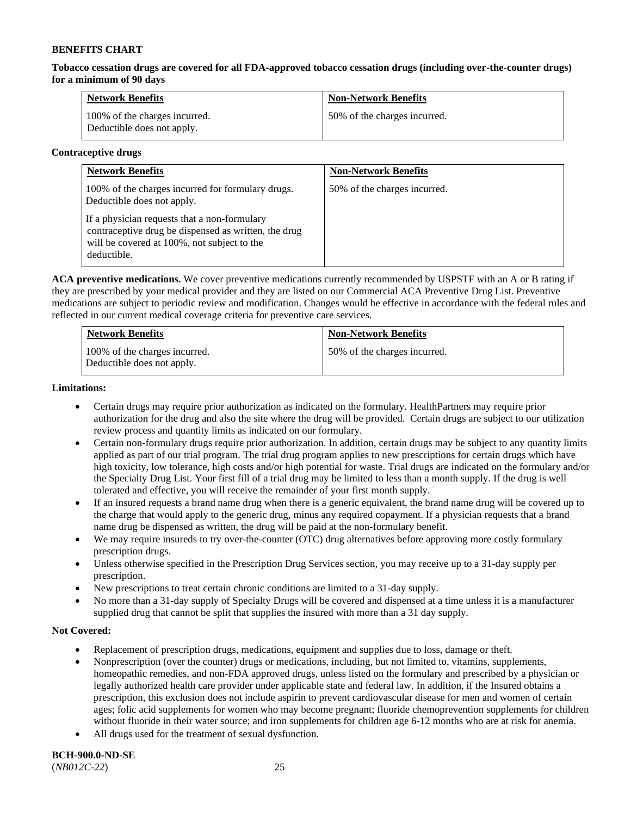**Tobacco cessation drugs are covered for all FDA-approved tobacco cessation drugs (including over-the-counter drugs) for a minimum of 90 days**

| <b>Network Benefits</b>                                     | <b>Non-Network Benefits</b>  |
|-------------------------------------------------------------|------------------------------|
| 100% of the charges incurred.<br>Deductible does not apply. | 50% of the charges incurred. |

## **Contraceptive drugs**

| <b>Network Benefits</b>                                                                                                                                            | <b>Non-Network Benefits</b>  |
|--------------------------------------------------------------------------------------------------------------------------------------------------------------------|------------------------------|
| 100% of the charges incurred for formulary drugs.<br>Deductible does not apply.                                                                                    | 50% of the charges incurred. |
| If a physician requests that a non-formulary<br>contraceptive drug be dispensed as written, the drug<br>will be covered at 100%, not subject to the<br>deductible. |                              |

**ACA preventive medications.** We cover preventive medications currently recommended by USPSTF with an A or B rating if they are prescribed by your medical provider and they are listed on our Commercial ACA Preventive Drug List. Preventive medications are subject to periodic review and modification. Changes would be effective in accordance with the federal rules and reflected in our current medical coverage criteria for preventive care services.

| <b>Network Benefits</b>                                     | <b>Non-Network Benefits</b>  |
|-------------------------------------------------------------|------------------------------|
| 100% of the charges incurred.<br>Deductible does not apply. | 50% of the charges incurred. |

## **Limitations:**

- Certain drugs may require prior authorization as indicated on the formulary. HealthPartners may require prior authorization for the drug and also the site where the drug will be provided. Certain drugs are subject to our utilization review process and quantity limits as indicated on our formulary.
- Certain non-formulary drugs require prior authorization. In addition, certain drugs may be subject to any quantity limits applied as part of our trial program. The trial drug program applies to new prescriptions for certain drugs which have high toxicity, low tolerance, high costs and/or high potential for waste. Trial drugs are indicated on the formulary and/or the Specialty Drug List. Your first fill of a trial drug may be limited to less than a month supply. If the drug is well tolerated and effective, you will receive the remainder of your first month supply.
- If an insured requests a brand name drug when there is a generic equivalent, the brand name drug will be covered up to the charge that would apply to the generic drug, minus any required copayment. If a physician requests that a brand name drug be dispensed as written, the drug will be paid at the non-formulary benefit.
- We may require insureds to try over-the-counter (OTC) drug alternatives before approving more costly formulary prescription drugs.
- Unless otherwise specified in the Prescription Drug Services section, you may receive up to a 31-day supply per prescription.
- New prescriptions to treat certain chronic conditions are limited to a 31-day supply.
- No more than a 31-day supply of Specialty Drugs will be covered and dispensed at a time unless it is a manufacturer supplied drug that cannot be split that supplies the insured with more than a 31 day supply.

## **Not Covered:**

- Replacement of prescription drugs, medications, equipment and supplies due to loss, damage or theft.
- Nonprescription (over the counter) drugs or medications, including, but not limited to, vitamins, supplements, homeopathic remedies, and non-FDA approved drugs, unless listed on the formulary and prescribed by a physician or legally authorized health care provider under applicable state and federal law. In addition, if the Insured obtains a prescription, this exclusion does not include aspirin to prevent cardiovascular disease for men and women of certain ages; folic acid supplements for women who may become pregnant; fluoride chemoprevention supplements for children without fluoride in their water source; and iron supplements for children age 6-12 months who are at risk for anemia.
- All drugs used for the treatment of sexual dysfunction.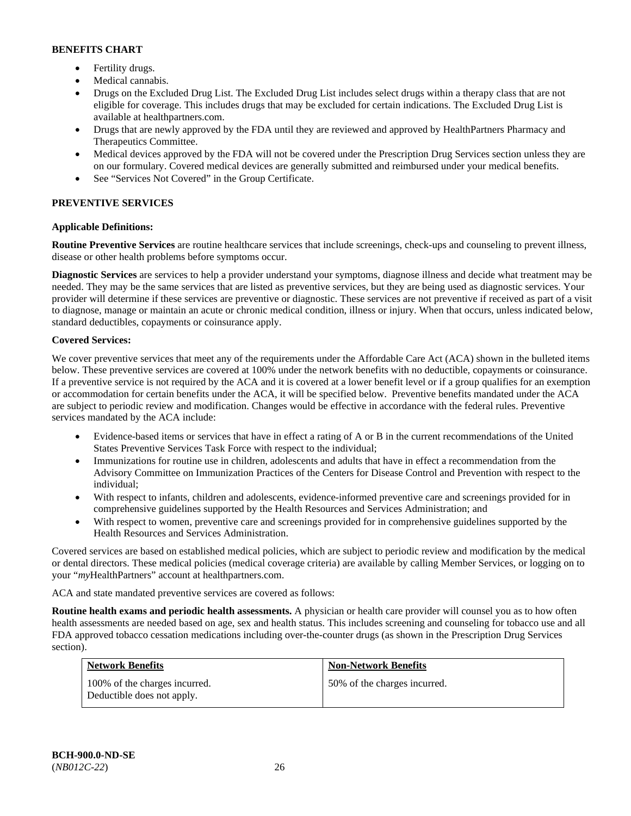- Fertility drugs.
- Medical cannabis.
- Drugs on the Excluded Drug List. The Excluded Drug List includes select drugs within a therapy class that are not eligible for coverage. This includes drugs that may be excluded for certain indications. The Excluded Drug List is available at [healthpartners.com.](http://www.healthpartners.com/)
- Drugs that are newly approved by the FDA until they are reviewed and approved by HealthPartners Pharmacy and Therapeutics Committee.
- Medical devices approved by the FDA will not be covered under the Prescription Drug Services section unless they are on our formulary. Covered medical devices are generally submitted and reimbursed under your medical benefits.
- See "Services Not Covered" in the Group Certificate.

# **PREVENTIVE SERVICES**

# **Applicable Definitions:**

**Routine Preventive Services** are routine healthcare services that include screenings, check-ups and counseling to prevent illness, disease or other health problems before symptoms occur.

**Diagnostic Services** are services to help a provider understand your symptoms, diagnose illness and decide what treatment may be needed. They may be the same services that are listed as preventive services, but they are being used as diagnostic services. Your provider will determine if these services are preventive or diagnostic. These services are not preventive if received as part of a visit to diagnose, manage or maintain an acute or chronic medical condition, illness or injury. When that occurs, unless indicated below, standard deductibles, copayments or coinsurance apply.

## **Covered Services:**

We cover preventive services that meet any of the requirements under the Affordable Care Act (ACA) shown in the bulleted items below. These preventive services are covered at 100% under the network benefits with no deductible, copayments or coinsurance. If a preventive service is not required by the ACA and it is covered at a lower benefit level or if a group qualifies for an exemption or accommodation for certain benefits under the ACA, it will be specified below. Preventive benefits mandated under the ACA are subject to periodic review and modification. Changes would be effective in accordance with the federal rules. Preventive services mandated by the ACA include:

- Evidence-based items or services that have in effect a rating of A or B in the current recommendations of the United States Preventive Services Task Force with respect to the individual;
- Immunizations for routine use in children, adolescents and adults that have in effect a recommendation from the Advisory Committee on Immunization Practices of the Centers for Disease Control and Prevention with respect to the individual;
- With respect to infants, children and adolescents, evidence-informed preventive care and screenings provided for in comprehensive guidelines supported by the Health Resources and Services Administration; and
- With respect to women, preventive care and screenings provided for in comprehensive guidelines supported by the Health Resources and Services Administration.

Covered services are based on established medical policies, which are subject to periodic review and modification by the medical or dental directors. These medical policies (medical coverage criteria) are available by calling Member Services, or logging on to your "*my*HealthPartners" account at [healthpartners.com.](http://www.healthpartners.com/) 

ACA and state mandated preventive services are covered as follows:

**Routine health exams and periodic health assessments.** A physician or health care provider will counsel you as to how often health assessments are needed based on age, sex and health status. This includes screening and counseling for tobacco use and all FDA approved tobacco cessation medications including over-the-counter drugs (as shown in the Prescription Drug Services section).

| <b>Network Benefits</b>                                     | <b>Non-Network Benefits</b>  |
|-------------------------------------------------------------|------------------------------|
| 100% of the charges incurred.<br>Deductible does not apply. | 50% of the charges incurred. |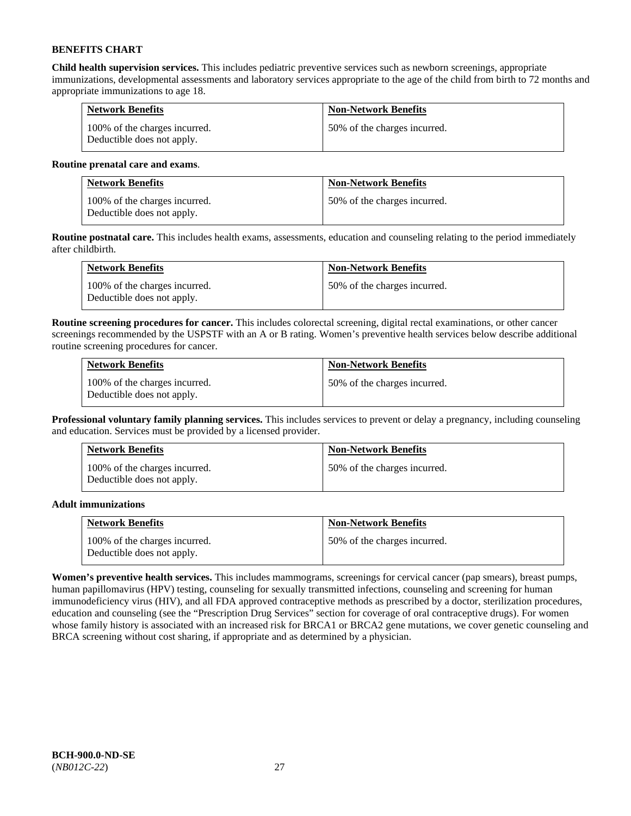**Child health supervision services.** This includes pediatric preventive services such as newborn screenings, appropriate immunizations, developmental assessments and laboratory services appropriate to the age of the child from birth to 72 months and appropriate immunizations to age 18.

| <b>Network Benefits</b>                                     | <b>Non-Network Benefits</b>  |
|-------------------------------------------------------------|------------------------------|
| 100% of the charges incurred.<br>Deductible does not apply. | 50% of the charges incurred. |

## **Routine prenatal care and exams**.

| <b>Network Benefits</b>                                     | <b>Non-Network Benefits</b>  |
|-------------------------------------------------------------|------------------------------|
| 100% of the charges incurred.<br>Deductible does not apply. | 50% of the charges incurred. |

**Routine postnatal care.** This includes health exams, assessments, education and counseling relating to the period immediately after childbirth.

| <b>Network Benefits</b>                                     | <b>Non-Network Benefits</b>  |
|-------------------------------------------------------------|------------------------------|
| 100% of the charges incurred.<br>Deductible does not apply. | 50% of the charges incurred. |

**Routine screening procedures for cancer.** This includes colorectal screening, digital rectal examinations, or other cancer screenings recommended by the USPSTF with an A or B rating. Women's preventive health services below describe additional routine screening procedures for cancer.

| <b>Network Benefits</b>                                     | <b>Non-Network Benefits</b>  |
|-------------------------------------------------------------|------------------------------|
| 100% of the charges incurred.<br>Deductible does not apply. | 50% of the charges incurred. |

**Professional voluntary family planning services.** This includes services to prevent or delay a pregnancy, including counseling and education. Services must be provided by a licensed provider.

| <b>Network Benefits</b>                                     | <b>Non-Network Benefits</b>  |
|-------------------------------------------------------------|------------------------------|
| 100% of the charges incurred.<br>Deductible does not apply. | 50% of the charges incurred. |

## **Adult immunizations**

| <b>Network Benefits</b>                                     | <b>Non-Network Benefits</b>  |
|-------------------------------------------------------------|------------------------------|
| 100% of the charges incurred.<br>Deductible does not apply. | 50% of the charges incurred. |

**Women's preventive health services.** This includes mammograms, screenings for cervical cancer (pap smears), breast pumps, human papillomavirus (HPV) testing, counseling for sexually transmitted infections, counseling and screening for human immunodeficiency virus (HIV), and all FDA approved contraceptive methods as prescribed by a doctor, sterilization procedures, education and counseling (see the "Prescription Drug Services" section for coverage of oral contraceptive drugs). For women whose family history is associated with an increased risk for BRCA1 or BRCA2 gene mutations, we cover genetic counseling and BRCA screening without cost sharing, if appropriate and as determined by a physician.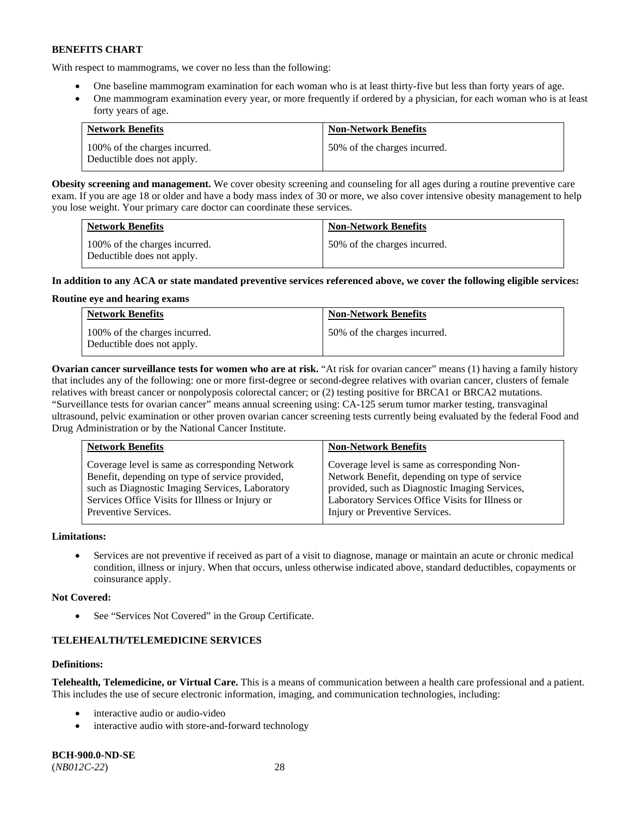With respect to mammograms, we cover no less than the following:

- One baseline mammogram examination for each woman who is at least thirty-five but less than forty years of age.
- One mammogram examination every year, or more frequently if ordered by a physician, for each woman who is at least forty years of age.

| <b>Network Benefits</b>                                     | <b>Non-Network Benefits</b>  |
|-------------------------------------------------------------|------------------------------|
| 100% of the charges incurred.<br>Deductible does not apply. | 50% of the charges incurred. |

**Obesity screening and management.** We cover obesity screening and counseling for all ages during a routine preventive care exam. If you are age 18 or older and have a body mass index of 30 or more, we also cover intensive obesity management to help you lose weight. Your primary care doctor can coordinate these services.

| <b>Network Benefits</b>                                     | <b>Non-Network Benefits</b>  |
|-------------------------------------------------------------|------------------------------|
| 100% of the charges incurred.<br>Deductible does not apply. | 50% of the charges incurred. |

## **In addition to any ACA or state mandated preventive services referenced above, we cover the following eligible services:**

## **Routine eye and hearing exams**

| <b>Network Benefits</b>                                     | <b>Non-Network Benefits</b>  |
|-------------------------------------------------------------|------------------------------|
| 100% of the charges incurred.<br>Deductible does not apply. | 50% of the charges incurred. |

**Ovarian cancer surveillance tests for women who are at risk.** "At risk for ovarian cancer" means (1) having a family history that includes any of the following: one or more first-degree or second-degree relatives with ovarian cancer, clusters of female relatives with breast cancer or nonpolyposis colorectal cancer; or (2) testing positive for BRCA1 or BRCA2 mutations. "Surveillance tests for ovarian cancer" means annual screening using: CA-125 serum tumor marker testing, transvaginal ultrasound, pelvic examination or other proven ovarian cancer screening tests currently being evaluated by the federal Food and Drug Administration or by the National Cancer Institute.

| <b>Network Benefits</b>                         | <b>Non-Network Benefits</b>                      |
|-------------------------------------------------|--------------------------------------------------|
| Coverage level is same as corresponding Network | Coverage level is same as corresponding Non-     |
| Benefit, depending on type of service provided, | Network Benefit, depending on type of service    |
| such as Diagnostic Imaging Services, Laboratory | provided, such as Diagnostic Imaging Services,   |
| Services Office Visits for Illness or Injury or | Laboratory Services Office Visits for Illness or |
| Preventive Services.                            | Injury or Preventive Services.                   |

## **Limitations:**

• Services are not preventive if received as part of a visit to diagnose, manage or maintain an acute or chronic medical condition, illness or injury. When that occurs, unless otherwise indicated above, standard deductibles, copayments or coinsurance apply.

## **Not Covered:**

See "Services Not Covered" in the Group Certificate.

# **TELEHEALTH/TELEMEDICINE SERVICES**

## **Definitions:**

**Telehealth, Telemedicine, or Virtual Care.** This is a means of communication between a health care professional and a patient. This includes the use of secure electronic information, imaging, and communication technologies, including:

- interactive audio or audio-video
- interactive audio with store-and-forward technology

**BCH-900.0-ND-SE** (*NB012C-22*) 28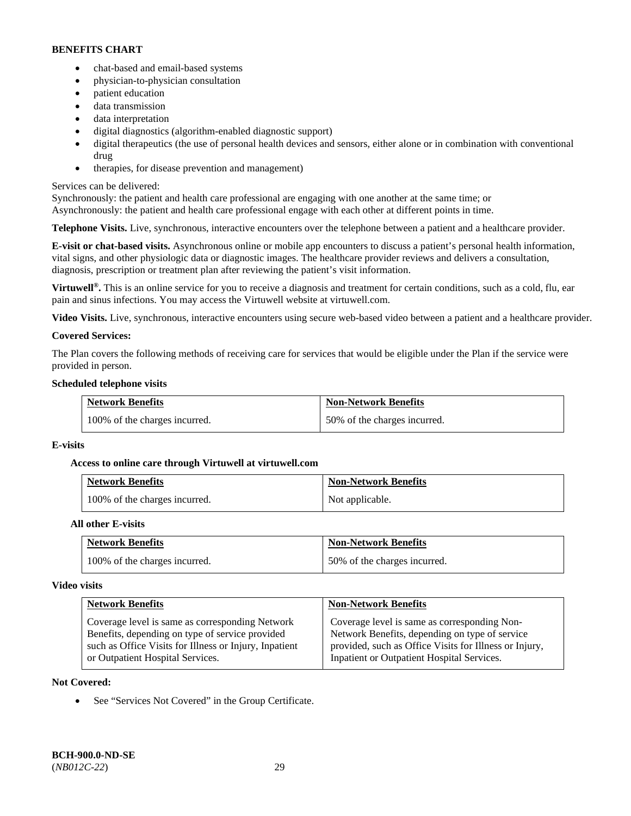- chat-based and email-based systems
- physician-to-physician consultation
- patient education
- data transmission
- data interpretation
- digital diagnostics (algorithm-enabled diagnostic support)
- digital therapeutics (the use of personal health devices and sensors, either alone or in combination with conventional drug
- therapies, for disease prevention and management)

## Services can be delivered:

Synchronously: the patient and health care professional are engaging with one another at the same time; or Asynchronously: the patient and health care professional engage with each other at different points in time.

**Telephone Visits.** Live, synchronous, interactive encounters over the telephone between a patient and a healthcare provider.

**E-visit or chat-based visits.** Asynchronous online or mobile app encounters to discuss a patient's personal health information, vital signs, and other physiologic data or diagnostic images. The healthcare provider reviews and delivers a consultation, diagnosis, prescription or treatment plan after reviewing the patient's visit information.

**Virtuwell<sup>®</sup>.** This is an online service for you to receive a diagnosis and treatment for certain conditions, such as a cold, flu, ear pain and sinus infections. You may access the Virtuwell website at [virtuwell.com.](https://www.virtuwell.com/)

**Video Visits.** Live, synchronous, interactive encounters using secure web-based video between a patient and a healthcare provider.

## **Covered Services:**

The Plan covers the following methods of receiving care for services that would be eligible under the Plan if the service were provided in person.

## **Scheduled telephone visits**

| <b>Network Benefits</b>       | <b>Non-Network Benefits</b>  |
|-------------------------------|------------------------------|
| 100% of the charges incurred. | 50% of the charges incurred. |

## **E-visits**

## **Access to online care through Virtuwell at [virtuwell.com](https://www.virtuwell.com/)**

| <b>Network Benefits</b>       | <b>Non-Network Benefits</b> |
|-------------------------------|-----------------------------|
| 100% of the charges incurred. | Not applicable.             |

## **All other E-visits**

| <b>Network Benefits</b>       | <b>Non-Network Benefits</b>  |
|-------------------------------|------------------------------|
| 100% of the charges incurred. | 50% of the charges incurred. |

#### **Video visits**

| <b>Network Benefits</b>                                | <b>Non-Network Benefits</b>                            |
|--------------------------------------------------------|--------------------------------------------------------|
| Coverage level is same as corresponding Network        | Coverage level is same as corresponding Non-           |
| Benefits, depending on type of service provided        | Network Benefits, depending on type of service         |
| such as Office Visits for Illness or Injury, Inpatient | provided, such as Office Visits for Illness or Injury, |
| or Outpatient Hospital Services.                       | Inpatient or Outpatient Hospital Services.             |

## **Not Covered:**

See "Services Not Covered" in the Group Certificate.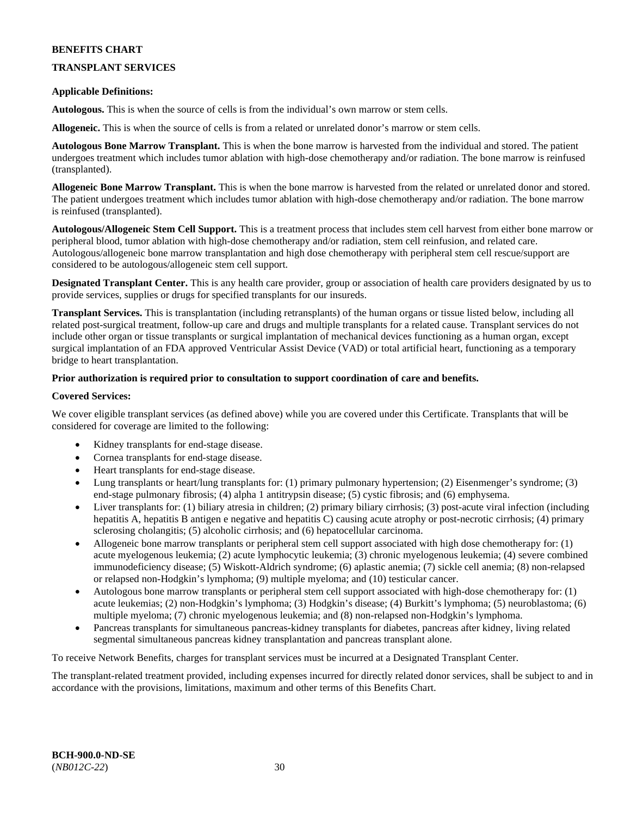## **TRANSPLANT SERVICES**

## **Applicable Definitions:**

**Autologous.** This is when the source of cells is from the individual's own marrow or stem cells.

**Allogeneic.** This is when the source of cells is from a related or unrelated donor's marrow or stem cells.

**Autologous Bone Marrow Transplant.** This is when the bone marrow is harvested from the individual and stored. The patient undergoes treatment which includes tumor ablation with high-dose chemotherapy and/or radiation. The bone marrow is reinfused (transplanted).

**Allogeneic Bone Marrow Transplant.** This is when the bone marrow is harvested from the related or unrelated donor and stored. The patient undergoes treatment which includes tumor ablation with high-dose chemotherapy and/or radiation. The bone marrow is reinfused (transplanted).

**Autologous/Allogeneic Stem Cell Support.** This is a treatment process that includes stem cell harvest from either bone marrow or peripheral blood, tumor ablation with high-dose chemotherapy and/or radiation, stem cell reinfusion, and related care. Autologous/allogeneic bone marrow transplantation and high dose chemotherapy with peripheral stem cell rescue/support are considered to be autologous/allogeneic stem cell support.

**Designated Transplant Center.** This is any health care provider, group or association of health care providers designated by us to provide services, supplies or drugs for specified transplants for our insureds.

**Transplant Services.** This is transplantation (including retransplants) of the human organs or tissue listed below, including all related post-surgical treatment, follow-up care and drugs and multiple transplants for a related cause. Transplant services do not include other organ or tissue transplants or surgical implantation of mechanical devices functioning as a human organ, except surgical implantation of an FDA approved Ventricular Assist Device (VAD) or total artificial heart, functioning as a temporary bridge to heart transplantation.

## **Prior authorization is required prior to consultation to support coordination of care and benefits.**

## **Covered Services:**

We cover eligible transplant services (as defined above) while you are covered under this Certificate. Transplants that will be considered for coverage are limited to the following:

- Kidney transplants for end-stage disease.
- Cornea transplants for end-stage disease.
- Heart transplants for end-stage disease.
- Lung transplants or heart/lung transplants for: (1) primary pulmonary hypertension; (2) Eisenmenger's syndrome; (3) end-stage pulmonary fibrosis; (4) alpha 1 antitrypsin disease; (5) cystic fibrosis; and (6) emphysema.
- Liver transplants for: (1) biliary atresia in children; (2) primary biliary cirrhosis; (3) post-acute viral infection (including hepatitis A, hepatitis B antigen e negative and hepatitis C) causing acute atrophy or post-necrotic cirrhosis; (4) primary sclerosing cholangitis; (5) alcoholic cirrhosis; and (6) hepatocellular carcinoma.
- Allogeneic bone marrow transplants or peripheral stem cell support associated with high dose chemotherapy for: (1) acute myelogenous leukemia; (2) acute lymphocytic leukemia; (3) chronic myelogenous leukemia; (4) severe combined immunodeficiency disease; (5) Wiskott-Aldrich syndrome; (6) aplastic anemia; (7) sickle cell anemia; (8) non-relapsed or relapsed non-Hodgkin's lymphoma; (9) multiple myeloma; and (10) testicular cancer.
- Autologous bone marrow transplants or peripheral stem cell support associated with high-dose chemotherapy for: (1) acute leukemias; (2) non-Hodgkin's lymphoma; (3) Hodgkin's disease; (4) Burkitt's lymphoma; (5) neuroblastoma; (6) multiple myeloma; (7) chronic myelogenous leukemia; and (8) non-relapsed non-Hodgkin's lymphoma.
- Pancreas transplants for simultaneous pancreas-kidney transplants for diabetes, pancreas after kidney, living related segmental simultaneous pancreas kidney transplantation and pancreas transplant alone.

To receive Network Benefits, charges for transplant services must be incurred at a Designated Transplant Center.

The transplant-related treatment provided, including expenses incurred for directly related donor services, shall be subject to and in accordance with the provisions, limitations, maximum and other terms of this Benefits Chart.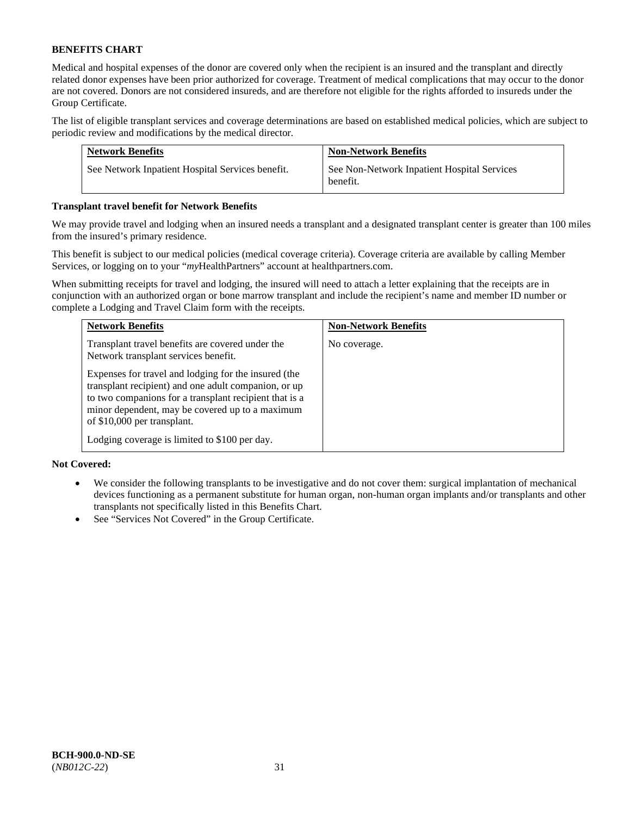Medical and hospital expenses of the donor are covered only when the recipient is an insured and the transplant and directly related donor expenses have been prior authorized for coverage. Treatment of medical complications that may occur to the donor are not covered. Donors are not considered insureds, and are therefore not eligible for the rights afforded to insureds under the Group Certificate.

The list of eligible transplant services and coverage determinations are based on established medical policies, which are subject to periodic review and modifications by the medical director.

| <b>Network Benefits</b>                          | <b>Non-Network Benefits</b>                             |
|--------------------------------------------------|---------------------------------------------------------|
| See Network Inpatient Hospital Services benefit. | See Non-Network Inpatient Hospital Services<br>benefit. |

## **Transplant travel benefit for Network Benefits**

We may provide travel and lodging when an insured needs a transplant and a designated transplant center is greater than 100 miles from the insured's primary residence.

This benefit is subject to our medical policies (medical coverage criteria). Coverage criteria are available by calling Member Services, or logging on to your "*my*HealthPartners" account a[t healthpartners.com.](http://healthpartners.com/)

When submitting receipts for travel and lodging, the insured will need to attach a letter explaining that the receipts are in conjunction with an authorized organ or bone marrow transplant and include the recipient's name and member ID number or complete a Lodging and Travel Claim form with the receipts.

| <b>Network Benefits</b>                                                                                                                                                                                                                                  | <b>Non-Network Benefits</b> |
|----------------------------------------------------------------------------------------------------------------------------------------------------------------------------------------------------------------------------------------------------------|-----------------------------|
| Transplant travel benefits are covered under the<br>Network transplant services benefit.                                                                                                                                                                 | No coverage.                |
| Expenses for travel and lodging for the insured (the<br>transplant recipient) and one adult companion, or up<br>to two companions for a transplant recipient that is a<br>minor dependent, may be covered up to a maximum<br>of \$10,000 per transplant. |                             |
| Lodging coverage is limited to \$100 per day.                                                                                                                                                                                                            |                             |

## **Not Covered:**

- We consider the following transplants to be investigative and do not cover them: surgical implantation of mechanical devices functioning as a permanent substitute for human organ, non-human organ implants and/or transplants and other transplants not specifically listed in this Benefits Chart.
- See "Services Not Covered" in the Group Certificate.